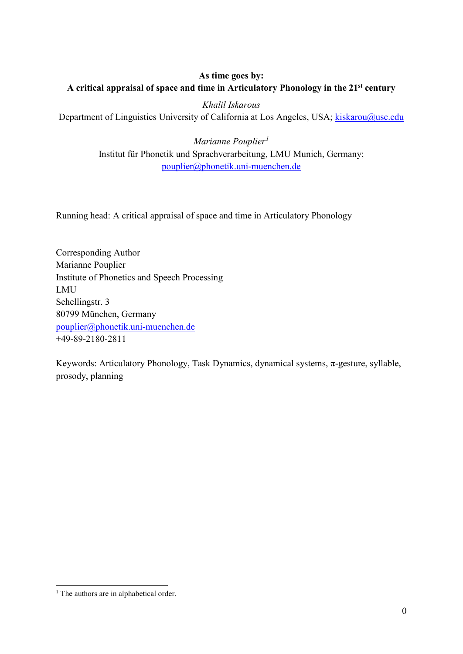# **As time goes by: A critical appraisal of space and time in Articulatory Phonology in the 21st century**

*Khalil Iskarous* Department of Linguistics University of California at Los Angeles, USA; [kiskarou@usc.edu](mailto:kiskarou@usc.edu)

> *Marianne Pouplier[1](#page-0-0)* Institut für Phonetik und Sprachverarbeitung, LMU Munich, Germany; [pouplier@phonetik.uni-muenchen.de](mailto:pouplier@phonetik.uni-muenchen.de)

Running head: A critical appraisal of space and time in Articulatory Phonology

Corresponding Author Marianne Pouplier Institute of Phonetics and Speech Processing LMU Schellingstr. 3 80799 München, Germany [pouplier@phonetik.uni-muenchen.de](mailto:pouplier@phonetik.uni-muenchen.de) +49-89-2180-2811

Keywords: Articulatory Phonology, Task Dynamics, dynamical systems, π-gesture, syllable, prosody, planning

<span id="page-0-0"></span><sup>-</sup><sup>1</sup> The authors are in alphabetical order.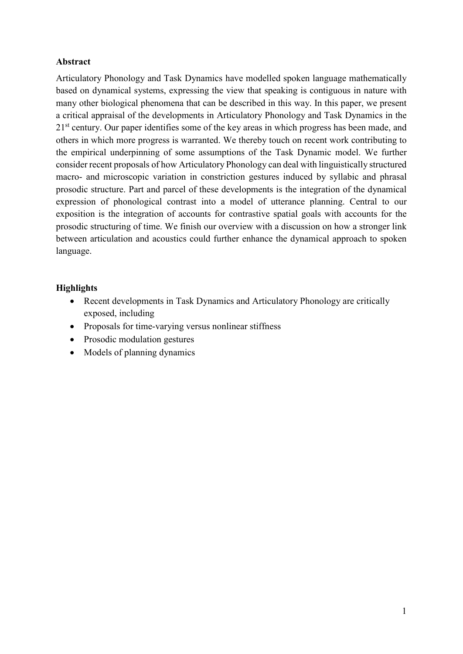## **Abstract**

Articulatory Phonology and Task Dynamics have modelled spoken language mathematically based on dynamical systems, expressing the view that speaking is contiguous in nature with many other biological phenomena that can be described in this way. In this paper, we present a critical appraisal of the developments in Articulatory Phonology and Task Dynamics in the 2<sup>1st</sup> century. Our paper identifies some of the key areas in which progress has been made, and others in which more progress is warranted. We thereby touch on recent work contributing to the empirical underpinning of some assumptions of the Task Dynamic model. We further consider recent proposals of how Articulatory Phonology can deal with linguistically structured macro- and microscopic variation in constriction gestures induced by syllabic and phrasal prosodic structure. Part and parcel of these developments is the integration of the dynamical expression of phonological contrast into a model of utterance planning. Central to our exposition is the integration of accounts for contrastive spatial goals with accounts for the prosodic structuring of time. We finish our overview with a discussion on how a stronger link between articulation and acoustics could further enhance the dynamical approach to spoken language.

## **Highlights**

- Recent developments in Task Dynamics and Articulatory Phonology are critically exposed, including
- Proposals for time-varying versus nonlinear stiffness
- Prosodic modulation gestures
- Models of planning dynamics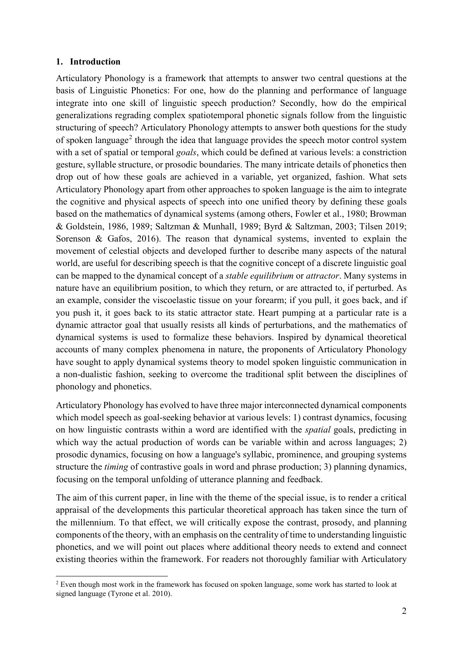### **1. Introduction**

Articulatory Phonology is a framework that attempts to answer two central questions at the basis of Linguistic Phonetics: For one, how do the planning and performance of language integrate into one skill of linguistic speech production? Secondly, how do the empirical generalizations regrading complex spatiotemporal phonetic signals follow from the linguistic structuring of speech? Articulatory Phonology attempts to answer both questions for the study of spoken language<sup>[2](#page-2-0)</sup> through the idea that language provides the speech motor control system with a set of spatial or temporal *goals*, which could be defined at various levels: a constriction gesture, syllable structure, or prosodic boundaries. The many intricate details of phonetics then drop out of how these goals are achieved in a variable, yet organized, fashion. What sets Articulatory Phonology apart from other approaches to spoken language is the aim to integrate the cognitive and physical aspects of speech into one unified theory by defining these goals based on the mathematics of dynamical systems (among others, Fowler et al., 1980; Browman & Goldstein, 1986, 1989; Saltzman & Munhall, 1989; Byrd & Saltzman, 2003; Tilsen 2019; Sorenson & Gafos, 2016). The reason that dynamical systems, invented to explain the movement of celestial objects and developed further to describe many aspects of the natural world, are useful for describing speech is that the cognitive concept of a discrete linguistic goal can be mapped to the dynamical concept of a *stable equilibrium* or *attractor*. Many systems in nature have an equilibrium position, to which they return, or are attracted to, if perturbed. As an example, consider the viscoelastic tissue on your forearm; if you pull, it goes back, and if you push it, it goes back to its static attractor state. Heart pumping at a particular rate is a dynamic attractor goal that usually resists all kinds of perturbations, and the mathematics of dynamical systems is used to formalize these behaviors. Inspired by dynamical theoretical accounts of many complex phenomena in nature, the proponents of Articulatory Phonology have sought to apply dynamical systems theory to model spoken linguistic communication in a non-dualistic fashion, seeking to overcome the traditional split between the disciplines of phonology and phonetics.

Articulatory Phonology has evolved to have three major interconnected dynamical components which model speech as goal-seeking behavior at various levels: 1) contrast dynamics, focusing on how linguistic contrasts within a word are identified with the *spatial* goals, predicting in which way the actual production of words can be variable within and across languages; 2) prosodic dynamics, focusing on how a language's syllabic, prominence, and grouping systems structure the *timing* of contrastive goals in word and phrase production; 3) planning dynamics, focusing on the temporal unfolding of utterance planning and feedback.

The aim of this current paper, in line with the theme of the special issue, is to render a critical appraisal of the developments this particular theoretical approach has taken since the turn of the millennium. To that effect, we will critically expose the contrast, prosody, and planning components of the theory, with an emphasis on the centrality of time to understanding linguistic phonetics, and we will point out places where additional theory needs to extend and connect existing theories within the framework. For readers not thoroughly familiar with Articulatory

<span id="page-2-0"></span><sup>-</sup> $2$  Even though most work in the framework has focused on spoken language, some work has started to look at signed language (Tyrone et al. 2010).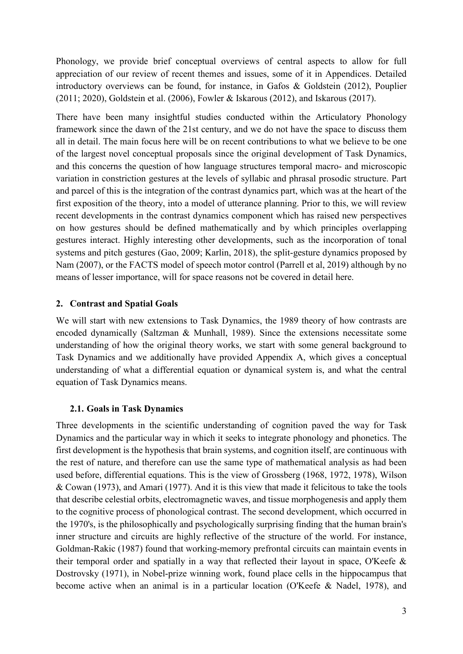Phonology, we provide brief conceptual overviews of central aspects to allow for full appreciation of our review of recent themes and issues, some of it in Appendices. Detailed introductory overviews can be found, for instance, in Gafos & Goldstein (2012), Pouplier (2011; 2020), Goldstein et al. (2006), Fowler & Iskarous (2012), and Iskarous (2017).

There have been many insightful studies conducted within the Articulatory Phonology framework since the dawn of the 21st century, and we do not have the space to discuss them all in detail. The main focus here will be on recent contributions to what we believe to be one of the largest novel conceptual proposals since the original development of Task Dynamics, and this concerns the question of how language structures temporal macro- and microscopic variation in constriction gestures at the levels of syllabic and phrasal prosodic structure. Part and parcel of this is the integration of the contrast dynamics part, which was at the heart of the first exposition of the theory, into a model of utterance planning. Prior to this, we will review recent developments in the contrast dynamics component which has raised new perspectives on how gestures should be defined mathematically and by which principles overlapping gestures interact. Highly interesting other developments, such as the incorporation of tonal systems and pitch gestures (Gao, 2009; Karlin, 2018), the split-gesture dynamics proposed by Nam (2007), or the FACTS model of speech motor control (Parrell et al, 2019) although by no means of lesser importance, will for space reasons not be covered in detail here.

### **2. Contrast and Spatial Goals**

We will start with new extensions to Task Dynamics, the 1989 theory of how contrasts are encoded dynamically (Saltzman & Munhall, 1989). Since the extensions necessitate some understanding of how the original theory works, we start with some general background to Task Dynamics and we additionally have provided Appendix A, which gives a conceptual understanding of what a differential equation or dynamical system is, and what the central equation of Task Dynamics means.

### **2.1. Goals in Task Dynamics**

Three developments in the scientific understanding of cognition paved the way for Task Dynamics and the particular way in which it seeks to integrate phonology and phonetics. The first development is the hypothesis that brain systems, and cognition itself, are continuous with the rest of nature, and therefore can use the same type of mathematical analysis as had been used before, differential equations. This is the view of Grossberg (1968, 1972, 1978), Wilson & Cowan (1973), and Amari (1977). And it is this view that made it felicitous to take the tools that describe celestial orbits, electromagnetic waves, and tissue morphogenesis and apply them to the cognitive process of phonological contrast. The second development, which occurred in the 1970's, is the philosophically and psychologically surprising finding that the human brain's inner structure and circuits are highly reflective of the structure of the world. For instance, Goldman-Rakic (1987) found that working-memory prefrontal circuits can maintain events in their temporal order and spatially in a way that reflected their layout in space, O'Keefe & Dostrovsky (1971), in Nobel-prize winning work, found place cells in the hippocampus that become active when an animal is in a particular location (O'Keefe & Nadel, 1978), and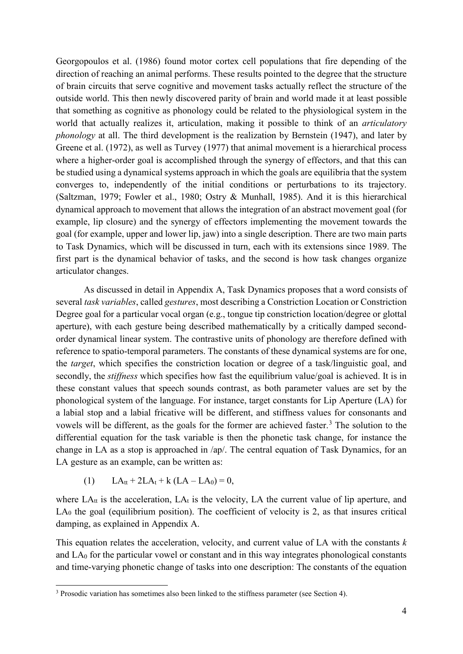Georgopoulos et al. (1986) found motor cortex cell populations that fire depending of the direction of reaching an animal performs. These results pointed to the degree that the structure of brain circuits that serve cognitive and movement tasks actually reflect the structure of the outside world. This then newly discovered parity of brain and world made it at least possible that something as cognitive as phonology could be related to the physiological system in the world that actually realizes it, articulation, making it possible to think of an *articulatory phonology* at all. The third development is the realization by Bernstein (1947), and later by Greene et al. (1972), as well as Turvey (1977) that animal movement is a hierarchical process where a higher-order goal is accomplished through the synergy of effectors, and that this can be studied using a dynamical systems approach in which the goals are equilibria that the system converges to, independently of the initial conditions or perturbations to its trajectory. (Saltzman, 1979; Fowler et al., 1980; Ostry & Munhall, 1985). And it is this hierarchical dynamical approach to movement that allows the integration of an abstract movement goal (for example, lip closure) and the synergy of effectors implementing the movement towards the goal (for example, upper and lower lip, jaw) into a single description. There are two main parts to Task Dynamics, which will be discussed in turn, each with its extensions since 1989. The first part is the dynamical behavior of tasks, and the second is how task changes organize articulator changes.

As discussed in detail in Appendix A, Task Dynamics proposes that a word consists of several *task variables*, called *gestures*, most describing a Constriction Location or Constriction Degree goal for a particular vocal organ (e.g., tongue tip constriction location/degree or glottal aperture), with each gesture being described mathematically by a critically damped secondorder dynamical linear system. The contrastive units of phonology are therefore defined with reference to spatio-temporal parameters. The constants of these dynamical systems are for one, the *target*, which specifies the constriction location or degree of a task/linguistic goal, and secondly, the *stiffness* which specifies how fast the equilibrium value/goal is achieved. It is in these constant values that speech sounds contrast, as both parameter values are set by the phonological system of the language. For instance, target constants for Lip Aperture (LA) for a labial stop and a labial fricative will be different, and stiffness values for consonants and vowels will be different, as the goals for the former are achieved faster. [3](#page-4-0) The solution to the differential equation for the task variable is then the phonetic task change, for instance the change in LA as a stop is approached in /ap/. The central equation of Task Dynamics, for an LA gesture as an example, can be written as:

(1)  $LA_{tt} + 2LA_{t} + k (LA - LA_{0}) = 0$ ,

-

where  $LA_{tt}$  is the acceleration,  $LA_{t}$  is the velocity, LA the current value of lip aperture, and  $LA<sub>0</sub>$  the goal (equilibrium position). The coefficient of velocity is 2, as that insures critical damping, as explained in Appendix A.

This equation relates the acceleration, velocity, and current value of LA with the constants *k* and  $LA<sub>0</sub>$  for the particular vowel or constant and in this way integrates phonological constants and time-varying phonetic change of tasks into one description: The constants of the equation

<span id="page-4-0"></span> $3$  Prosodic variation has sometimes also been linked to the stiffness parameter (see Section 4).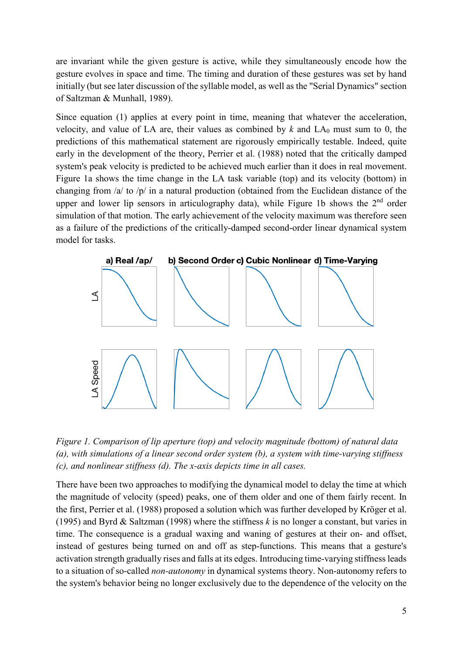are invariant while the given gesture is active, while they simultaneously encode how the gesture evolves in space and time. The timing and duration of these gestures was set by hand initially (but see later discussion of the syllable model, as well as the "Serial Dynamics" section of Saltzman & Munhall, 1989).

Since equation (1) applies at every point in time, meaning that whatever the acceleration, velocity, and value of LA are, their values as combined by  $k$  and  $LA<sub>0</sub>$  must sum to 0, the predictions of this mathematical statement are rigorously empirically testable. Indeed, quite early in the development of the theory, Perrier et al. (1988) noted that the critically damped system's peak velocity is predicted to be achieved much earlier than it does in real movement. Figure 1a shows the time change in the LA task variable (top) and its velocity (bottom) in changing from /a/ to /p/ in a natural production (obtained from the Euclidean distance of the upper and lower lip sensors in articulography data), while Figure 1b shows the 2<sup>nd</sup> order simulation of that motion. The early achievement of the velocity maximum was therefore seen as a failure of the predictions of the critically-damped second-order linear dynamical system model for tasks.



*Figure 1. Comparison of lip aperture (top) and velocity magnitude (bottom) of natural data (a), with simulations of a linear second order system (b), a system with time-varying stiffness (c), and nonlinear stiffness (d). The x-axis depicts time in all cases.*

There have been two approaches to modifying the dynamical model to delay the time at which the magnitude of velocity (speed) peaks, one of them older and one of them fairly recent. In the first, Perrier et al. (1988) proposed a solution which was further developed by Kröger et al. (1995) and Byrd & Saltzman (1998) where the stiffness *k* is no longer a constant, but varies in time. The consequence is a gradual waxing and waning of gestures at their on- and offset, instead of gestures being turned on and off as step-functions. This means that a gesture's activation strength gradually rises and falls at its edges. Introducing time-varying stiffness leads to a situation of so-called *non-autonomy* in dynamical systems theory. Non-autonomy refers to the system's behavior being no longer exclusively due to the dependence of the velocity on the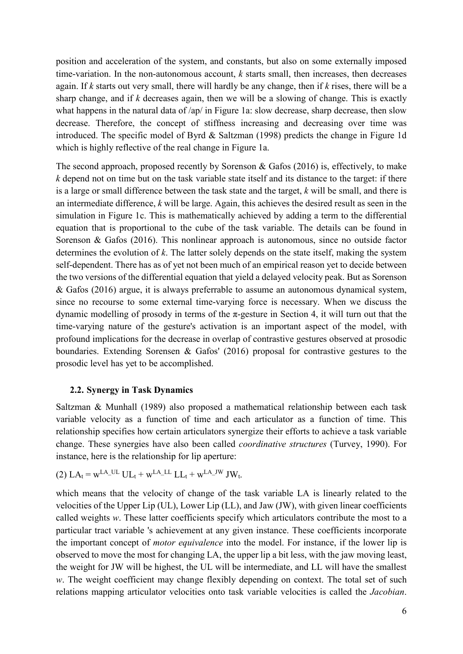position and acceleration of the system, and constants, but also on some externally imposed time-variation. In the non-autonomous account, *k* starts small, then increases, then decreases again. If *k* starts out very small, there will hardly be any change, then if *k* rises, there will be a sharp change, and if *k* decreases again, then we will be a slowing of change. This is exactly what happens in the natural data of /ap/ in Figure 1a: slow decrease, sharp decrease, then slow decrease. Therefore, the concept of stiffness increasing and decreasing over time was introduced. The specific model of Byrd & Saltzman (1998) predicts the change in Figure 1d which is highly reflective of the real change in Figure 1a.

The second approach, proposed recently by Sorenson & Gafos (2016) is, effectively, to make *k* depend not on time but on the task variable state itself and its distance to the target: if there is a large or small difference between the task state and the target, *k* will be small, and there is an intermediate difference, *k* will be large. Again, this achieves the desired result as seen in the simulation in Figure 1c. This is mathematically achieved by adding a term to the differential equation that is proportional to the cube of the task variable. The details can be found in Sorenson & Gafos (2016). This nonlinear approach is autonomous, since no outside factor determines the evolution of *k*. The latter solely depends on the state itself, making the system self-dependent. There has as of yet not been much of an empirical reason yet to decide between the two versions of the differential equation that yield a delayed velocity peak. But as Sorenson & Gafos (2016) argue, it is always preferrable to assume an autonomous dynamical system, since no recourse to some external time-varying force is necessary. When we discuss the dynamic modelling of prosody in terms of the π-gesture in Section 4, it will turn out that the time-varying nature of the gesture's activation is an important aspect of the model, with profound implications for the decrease in overlap of contrastive gestures observed at prosodic boundaries. Extending Sorensen & Gafos' (2016) proposal for contrastive gestures to the prosodic level has yet to be accomplished.

### **2.2. Synergy in Task Dynamics**

Saltzman & Munhall (1989) also proposed a mathematical relationship between each task variable velocity as a function of time and each articulator as a function of time. This relationship specifies how certain articulators synergize their efforts to achieve a task variable change. These synergies have also been called *coordinative structures* (Turvey, 1990). For instance, here is the relationship for lip aperture:

(2) 
$$
LA_t = w^{LA\_UL} U L_t + w^{LA\_LL} L L_t + w^{LA\_JW} J W_t
$$
.

which means that the velocity of change of the task variable LA is linearly related to the velocities of the Upper Lip (UL), Lower Lip (LL), and Jaw (JW), with given linear coefficients called weights *w*. These latter coefficients specify which articulators contribute the most to a particular tract variable 's achievement at any given instance. These coefficients incorporate the important concept of *motor equivalence* into the model. For instance, if the lower lip is observed to move the most for changing LA, the upper lip a bit less, with the jaw moving least, the weight for JW will be highest, the UL will be intermediate, and LL will have the smallest w. The weight coefficient may change flexibly depending on context. The total set of such relations mapping articulator velocities onto task variable velocities is called the *Jacobian*.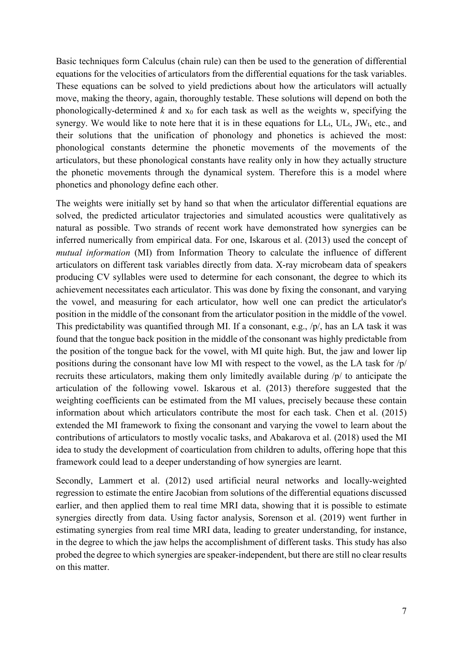Basic techniques form Calculus (chain rule) can then be used to the generation of differential equations for the velocities of articulators from the differential equations for the task variables. These equations can be solved to yield predictions about how the articulators will actually move, making the theory, again, thoroughly testable. These solutions will depend on both the phonologically-determined  $k$  and  $x_0$  for each task as well as the weights w, specifying the synergy. We would like to note here that it is in these equations for  $LL_t$ ,  $UL_t$ ,  $JW_t$ , etc., and their solutions that the unification of phonology and phonetics is achieved the most: phonological constants determine the phonetic movements of the movements of the articulators, but these phonological constants have reality only in how they actually structure the phonetic movements through the dynamical system. Therefore this is a model where phonetics and phonology define each other.

The weights were initially set by hand so that when the articulator differential equations are solved, the predicted articulator trajectories and simulated acoustics were qualitatively as natural as possible. Two strands of recent work have demonstrated how synergies can be inferred numerically from empirical data. For one, Iskarous et al. (2013) used the concept of *mutual information* (MI) from Information Theory to calculate the influence of different articulators on different task variables directly from data. X-ray microbeam data of speakers producing CV syllables were used to determine for each consonant, the degree to which its achievement necessitates each articulator. This was done by fixing the consonant, and varying the vowel, and measuring for each articulator, how well one can predict the articulator's position in the middle of the consonant from the articulator position in the middle of the vowel. This predictability was quantified through MI. If a consonant, e.g., /p/, has an LA task it was found that the tongue back position in the middle of the consonant was highly predictable from the position of the tongue back for the vowel, with MI quite high. But, the jaw and lower lip positions during the consonant have low MI with respect to the vowel, as the LA task for /p/ recruits these articulators, making them only limitedly available during /p/ to anticipate the articulation of the following vowel. Iskarous et al. (2013) therefore suggested that the weighting coefficients can be estimated from the MI values, precisely because these contain information about which articulators contribute the most for each task. Chen et al. (2015) extended the MI framework to fixing the consonant and varying the vowel to learn about the contributions of articulators to mostly vocalic tasks, and Abakarova et al. (2018) used the MI idea to study the development of coarticulation from children to adults, offering hope that this framework could lead to a deeper understanding of how synergies are learnt.

Secondly, Lammert et al. (2012) used artificial neural networks and locally-weighted regression to estimate the entire Jacobian from solutions of the differential equations discussed earlier, and then applied them to real time MRI data, showing that it is possible to estimate synergies directly from data. Using factor analysis, Sorenson et al. (2019) went further in estimating synergies from real time MRI data, leading to greater understanding, for instance, in the degree to which the jaw helps the accomplishment of different tasks. This study has also probed the degree to which synergies are speaker-independent, but there are still no clear results on this matter.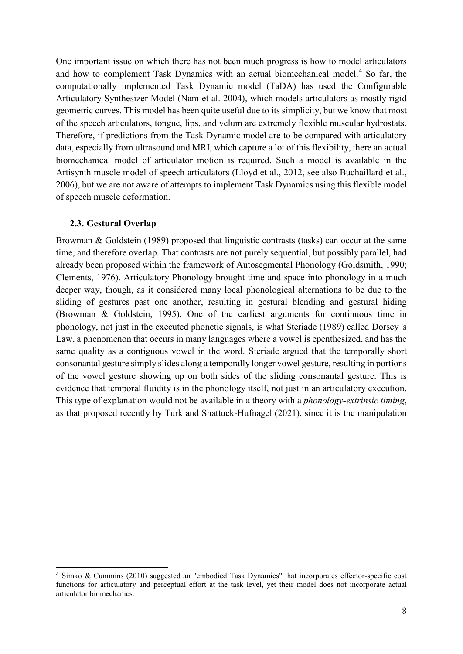One important issue on which there has not been much progress is how to model articulators and how to complement Task Dynamics with an actual biomechanical model. [4](#page-8-0) So far, the computationally implemented Task Dynamic model (TaDA) has used the Configurable Articulatory Synthesizer Model (Nam et al. 2004), which models articulators as mostly rigid geometric curves. This model has been quite useful due to its simplicity, but we know that most of the speech articulators, tongue, lips, and velum are extremely flexible muscular hydrostats. Therefore, if predictions from the Task Dynamic model are to be compared with articulatory data, especially from ultrasound and MRI, which capture a lot of this flexibility, there an actual biomechanical model of articulator motion is required. Such a model is available in the Artisynth muscle model of speech articulators (Lloyd et al., 2012, see also Buchaillard et al., 2006), but we are not aware of attempts to implement Task Dynamics using this flexible model of speech muscle deformation.

### **2.3. Gestural Overlap**

Browman & Goldstein (1989) proposed that linguistic contrasts (tasks) can occur at the same time, and therefore overlap. That contrasts are not purely sequential, but possibly parallel, had already been proposed within the framework of Autosegmental Phonology (Goldsmith, 1990; Clements, 1976). Articulatory Phonology brought time and space into phonology in a much deeper way, though, as it considered many local phonological alternations to be due to the sliding of gestures past one another, resulting in gestural blending and gestural hiding (Browman & Goldstein, 1995). One of the earliest arguments for continuous time in phonology, not just in the executed phonetic signals, is what Steriade (1989) called Dorsey 's Law, a phenomenon that occurs in many languages where a vowel is epenthesized, and has the same quality as a contiguous vowel in the word. Steriade argued that the temporally short consonantal gesture simply slides along a temporally longer vowel gesture, resulting in portions of the vowel gesture showing up on both sides of the sliding consonantal gesture. This is evidence that temporal fluidity is in the phonology itself, not just in an articulatory execution. This type of explanation would not be available in a theory with a *phonology-extrinsic timing*, as that proposed recently by Turk and Shattuck-Hufnagel (2021), since it is the manipulation

<span id="page-8-0"></span> <sup>4</sup> Šimko & Cummins (2010) suggested an "embodied Task Dynamics" that incorporates effector-specific cost functions for articulatory and perceptual effort at the task level, yet their model does not incorporate actual articulator biomechanics.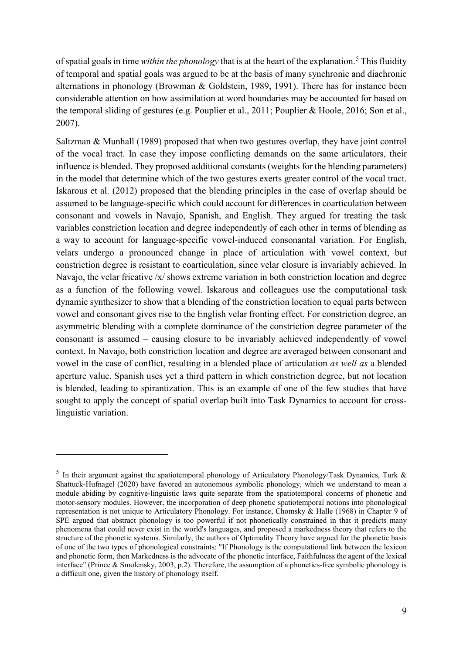of spatial goals in time *within the phonology* that is at the heart of the explanation.[5](#page-9-0) This fluidity of temporal and spatial goals was argued to be at the basis of many synchronic and diachronic alternations in phonology (Browman & Goldstein, 1989, 1991). There has for instance been considerable attention on how assimilation at word boundaries may be accounted for based on the temporal sliding of gestures (e.g. Pouplier et al., 2011; Pouplier & Hoole, 2016; Son et al., 2007).

Saltzman & Munhall (1989) proposed that when two gestures overlap, they have joint control of the vocal tract. In case they impose conflicting demands on the same articulators, their influence is blended. They proposed additional constants (weights for the blending parameters) in the model that determine which of the two gestures exerts greater control of the vocal tract. Iskarous et al. (2012) proposed that the blending principles in the case of overlap should be assumed to be language-specific which could account for differences in coarticulation between consonant and vowels in Navajo, Spanish, and English. They argued for treating the task variables constriction location and degree independently of each other in terms of blending as a way to account for language-specific vowel-induced consonantal variation. For English, velars undergo a pronounced change in place of articulation with vowel context, but constriction degree is resistant to coarticulation, since velar closure is invariably achieved. In Navajo, the velar fricative /x/ shows extreme variation in both constriction location and degree as a function of the following vowel. Iskarous and colleagues use the computational task dynamic synthesizer to show that a blending of the constriction location to equal parts between vowel and consonant gives rise to the English velar fronting effect. For constriction degree, an asymmetric blending with a complete dominance of the constriction degree parameter of the consonant is assumed – causing closure to be invariably achieved independently of vowel context. In Navajo, both constriction location and degree are averaged between consonant and vowel in the case of conflict, resulting in a blended place of articulation *as well as* a blended aperture value. Spanish uses yet a third pattern in which constriction degree, but not location is blended, leading to spirantization. This is an example of one of the few studies that have sought to apply the concept of spatial overlap built into Task Dynamics to account for crosslinguistic variation.

-

<span id="page-9-0"></span><sup>&</sup>lt;sup>5</sup> In their argument against the spatiotemporal phonology of Articulatory Phonology/Task Dynamics, Turk & Shattuck-Hufnagel (2020) have favored an autonomous symbolic phonology, which we understand to mean a module abiding by cognitive-linguistic laws quite separate from the spatiotemporal concerns of phonetic and motor-sensory modules. However, the incorporation of deep phonetic spatiotemporal notions into phonological representation is not unique to Articulatory Phonology. For instance, Chomsky & Halle (1968) in Chapter 9 of SPE argued that abstract phonology is too powerful if not phonetically constrained in that it predicts many phenomena that could never exist in the world's languages, and proposed a markedness theory that refers to the structure of the phonetic systems. Similarly, the authors of Optimality Theory have argued for the phonetic basis of one of the two types of phonological constraints: "If Phonology is the computational link between the lexicon and phonetic form, then Markedness is the advocate of the phonetic interface, Faithfulness the agent of the lexical interface" (Prince & Smolensky, 2003, p.2). Therefore, the assumption of a phonetics-free symbolic phonology is a difficult one, given the history of phonology itself.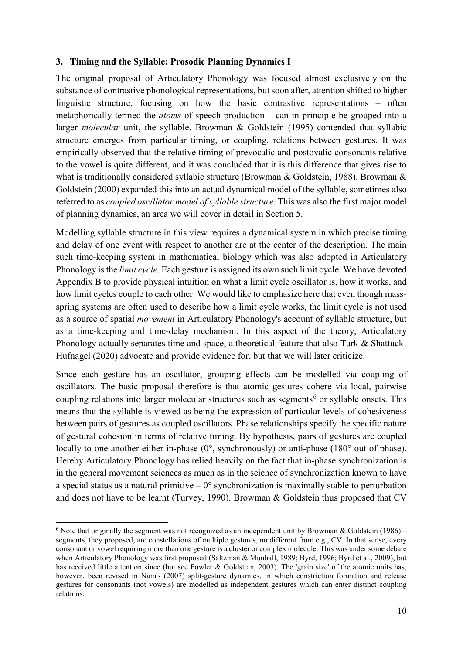### **3. Timing and the Syllable: Prosodic Planning Dynamics I**

The original proposal of Articulatory Phonology was focused almost exclusively on the substance of contrastive phonological representations, but soon after, attention shifted to higher linguistic structure, focusing on how the basic contrastive representations – often metaphorically termed the *atoms* of speech production – can in principle be grouped into a larger *molecular* unit, the syllable. Browman & Goldstein (1995) contended that syllabic structure emerges from particular timing, or coupling, relations between gestures. It was empirically observed that the relative timing of prevocalic and postovalic consonants relative to the vowel is quite different, and it was concluded that it is this difference that gives rise to what is traditionally considered syllabic structure (Browman & Goldstein, 1988). Browman & Goldstein (2000) expanded this into an actual dynamical model of the syllable, sometimes also referred to as *coupled oscillator model of syllable structure*. This was also the first major model of planning dynamics, an area we will cover in detail in Section 5.

Modelling syllable structure in this view requires a dynamical system in which precise timing and delay of one event with respect to another are at the center of the description. The main such time-keeping system in mathematical biology which was also adopted in Articulatory Phonology is the *limit cycle*. Each gesture is assigned its own such limit cycle. We have devoted Appendix B to provide physical intuition on what a limit cycle oscillator is, how it works, and how limit cycles couple to each other. We would like to emphasize here that even though massspring systems are often used to describe how a limit cycle works, the limit cycle is not used as a source of spatial *movement* in Articulatory Phonology's account of syllable structure, but as a time-keeping and time-delay mechanism. In this aspect of the theory, Articulatory Phonology actually separates time and space, a theoretical feature that also Turk & Shattuck-Hufnagel (2020) advocate and provide evidence for, but that we will later criticize.

Since each gesture has an oscillator, grouping effects can be modelled via coupling of oscillators. The basic proposal therefore is that atomic gestures cohere via local, pairwise coupling relations into larger molecular structures such as segments<sup>[6](#page-10-0)</sup> or syllable onsets. This means that the syllable is viewed as being the expression of particular levels of cohesiveness between pairs of gestures as coupled oscillators. Phase relationships specify the specific nature of gestural cohesion in terms of relative timing. By hypothesis, pairs of gestures are coupled locally to one another either in-phase (0°, synchronously) or anti-phase (180° out of phase). Hereby Articulatory Phonology has relied heavily on the fact that in-phase synchronization is in the general movement sciences as much as in the science of synchronization known to have a special status as a natural primitive  $-0^{\circ}$  synchronization is maximally stable to perturbation and does not have to be learnt (Turvey, 1990). Browman & Goldstein thus proposed that CV

<span id="page-10-0"></span><sup>-</sup><sup>6</sup> Note that originally the segment was not recognized as an independent unit by Browman & Goldstein (1986) – segments, they proposed, are constellations of multiple gestures, no different from e.g., CV. In that sense, every consonant or vowel requiring more than one gesture is a cluster or complex molecule. This was under some debate when Articulatory Phonology was first proposed (Saltzman & Munhall, 1989; Byrd, 1996; Byrd et al., 2009), but has received little attention since (but see Fowler & Goldstein, 2003). The 'grain size' of the atomic units has, however, been revised in Nam's (2007) split-gesture dynamics, in which constriction formation and release gestures for consonants (not vowels) are modelled as independent gestures which can enter distinct coupling relations.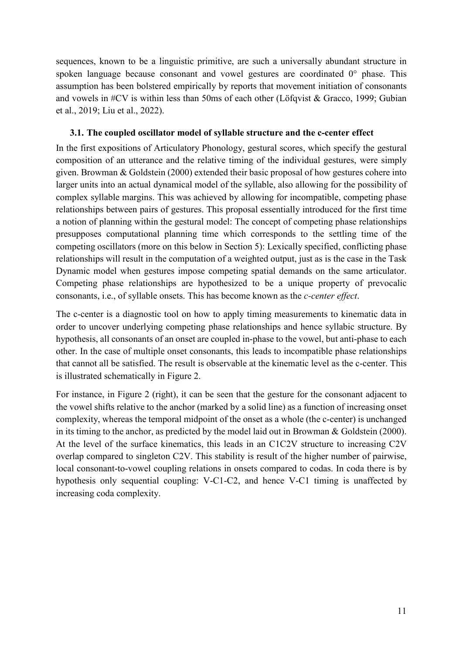sequences, known to be a linguistic primitive, are such a universally abundant structure in spoken language because consonant and vowel gestures are coordinated 0° phase. This assumption has been bolstered empirically by reports that movement initiation of consonants and vowels in #CV is within less than 50ms of each other (Löfqvist & Gracco, 1999; Gubian et al., 2019; Liu et al., 2022).

## **3.1. The coupled oscillator model of syllable structure and the c-center effect**

In the first expositions of Articulatory Phonology, gestural scores, which specify the gestural composition of an utterance and the relative timing of the individual gestures, were simply given. Browman & Goldstein (2000) extended their basic proposal of how gestures cohere into larger units into an actual dynamical model of the syllable, also allowing for the possibility of complex syllable margins. This was achieved by allowing for incompatible, competing phase relationships between pairs of gestures. This proposal essentially introduced for the first time a notion of planning within the gestural model: The concept of competing phase relationships presupposes computational planning time which corresponds to the settling time of the competing oscillators (more on this below in Section 5): Lexically specified, conflicting phase relationships will result in the computation of a weighted output, just as is the case in the Task Dynamic model when gestures impose competing spatial demands on the same articulator. Competing phase relationships are hypothesized to be a unique property of prevocalic consonants, i.e., of syllable onsets. This has become known as the *c-center effect*.

The c-center is a diagnostic tool on how to apply timing measurements to kinematic data in order to uncover underlying competing phase relationships and hence syllabic structure. By hypothesis, all consonants of an onset are coupled in-phase to the vowel, but anti-phase to each other. In the case of multiple onset consonants, this leads to incompatible phase relationships that cannot all be satisfied. The result is observable at the kinematic level as the c-center. This is illustrated schematically in Figure 2.

For instance, in Figure 2 (right), it can be seen that the gesture for the consonant adjacent to the vowel shifts relative to the anchor (marked by a solid line) as a function of increasing onset complexity, whereas the temporal midpoint of the onset as a whole (the c-center) is unchanged in its timing to the anchor, as predicted by the model laid out in Browman & Goldstein (2000). At the level of the surface kinematics, this leads in an C1C2V structure to increasing C2V overlap compared to singleton C2V. This stability is result of the higher number of pairwise, local consonant-to-vowel coupling relations in onsets compared to codas. In coda there is by hypothesis only sequential coupling: V-C1-C2, and hence V-C1 timing is unaffected by increasing coda complexity.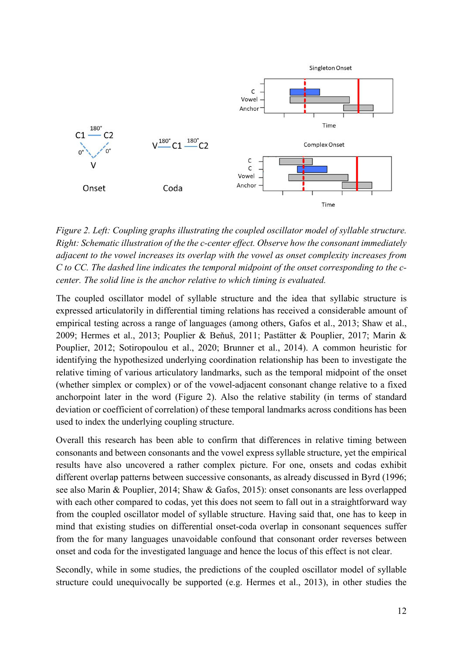

*Figure 2. Left: Coupling graphs illustrating the coupled oscillator model of syllable structure. Right: Schematic illustration of the the c-center effect. Observe how the consonant immediately adjacent to the vowel increases its overlap with the vowel as onset complexity increases from C to CC. The dashed line indicates the temporal midpoint of the onset corresponding to the ccenter. The solid line is the anchor relative to which timing is evaluated.*

The coupled oscillator model of syllable structure and the idea that syllabic structure is expressed articulatorily in differential timing relations has received a considerable amount of empirical testing across a range of languages (among others, Gafos et al., 2013; Shaw et al., 2009; Hermes et al., 2013; Pouplier & Beňuš, 2011; Pastätter & Pouplier, 2017; Marin & Pouplier, 2012; Sotiropoulou et al., 2020; Brunner et al., 2014). A common heuristic for identifying the hypothesized underlying coordination relationship has been to investigate the relative timing of various articulatory landmarks, such as the temporal midpoint of the onset (whether simplex or complex) or of the vowel-adjacent consonant change relative to a fixed anchorpoint later in the word (Figure 2). Also the relative stability (in terms of standard deviation or coefficient of correlation) of these temporal landmarks across conditions has been used to index the underlying coupling structure.

Overall this research has been able to confirm that differences in relative timing between consonants and between consonants and the vowel express syllable structure, yet the empirical results have also uncovered a rather complex picture. For one, onsets and codas exhibit different overlap patterns between successive consonants, as already discussed in Byrd (1996; see also Marin & Pouplier, 2014; Shaw & Gafos, 2015): onset consonants are less overlapped with each other compared to codas, yet this does not seem to fall out in a straightforward way from the coupled oscillator model of syllable structure. Having said that, one has to keep in mind that existing studies on differential onset-coda overlap in consonant sequences suffer from the for many languages unavoidable confound that consonant order reverses between onset and coda for the investigated language and hence the locus of this effect is not clear.

Secondly, while in some studies, the predictions of the coupled oscillator model of syllable structure could unequivocally be supported (e.g. Hermes et al., 2013), in other studies the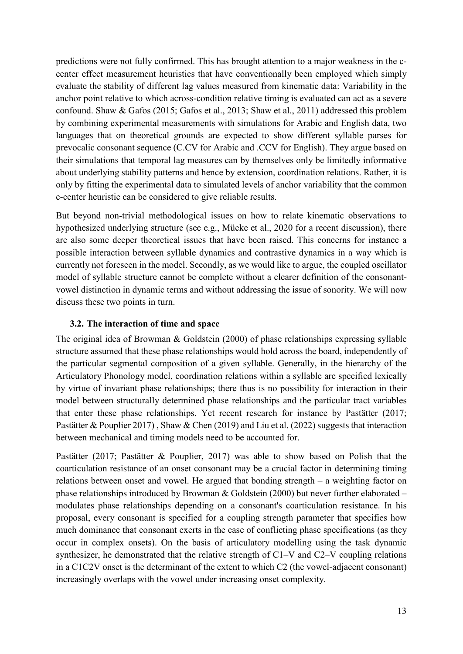predictions were not fully confirmed. This has brought attention to a major weakness in the ccenter effect measurement heuristics that have conventionally been employed which simply evaluate the stability of different lag values measured from kinematic data: Variability in the anchor point relative to which across-condition relative timing is evaluated can act as a severe confound. Shaw & Gafos (2015; Gafos et al., 2013; Shaw et al., 2011) addressed this problem by combining experimental measurements with simulations for Arabic and English data, two languages that on theoretical grounds are expected to show different syllable parses for prevocalic consonant sequence (C.CV for Arabic and .CCV for English). They argue based on their simulations that temporal lag measures can by themselves only be limitedly informative about underlying stability patterns and hence by extension, coordination relations. Rather, it is only by fitting the experimental data to simulated levels of anchor variability that the common c-center heuristic can be considered to give reliable results.

But beyond non-trivial methodological issues on how to relate kinematic observations to hypothesized underlying structure (see e.g., Mücke et al., 2020 for a recent discussion), there are also some deeper theoretical issues that have been raised. This concerns for instance a possible interaction between syllable dynamics and contrastive dynamics in a way which is currently not foreseen in the model. Secondly, as we would like to argue, the coupled oscillator model of syllable structure cannot be complete without a clearer definition of the consonantvowel distinction in dynamic terms and without addressing the issue of sonority. We will now discuss these two points in turn.

## **3.2. The interaction of time and space**

The original idea of Browman & Goldstein (2000) of phase relationships expressing syllable structure assumed that these phase relationships would hold across the board, independently of the particular segmental composition of a given syllable. Generally, in the hierarchy of the Articulatory Phonology model, coordination relations within a syllable are specified lexically by virtue of invariant phase relationships; there thus is no possibility for interaction in their model between structurally determined phase relationships and the particular tract variables that enter these phase relationships. Yet recent research for instance by Pastätter (2017; Pastätter & Pouplier 2017), Shaw & Chen (2019) and Liu et al. (2022) suggests that interaction between mechanical and timing models need to be accounted for.

Pastätter (2017; Pastätter & Pouplier, 2017) was able to show based on Polish that the coarticulation resistance of an onset consonant may be a crucial factor in determining timing relations between onset and vowel. He argued that bonding strength – a weighting factor on phase relationships introduced by Browman & Goldstein (2000) but never further elaborated – modulates phase relationships depending on a consonant's coarticulation resistance. In his proposal, every consonant is specified for a coupling strength parameter that specifies how much dominance that consonant exerts in the case of conflicting phase specifications (as they occur in complex onsets). On the basis of articulatory modelling using the task dynamic synthesizer, he demonstrated that the relative strength of C1–V and C2–V coupling relations in a C1C2V onset is the determinant of the extent to which C2 (the vowel-adjacent consonant) increasingly overlaps with the vowel under increasing onset complexity.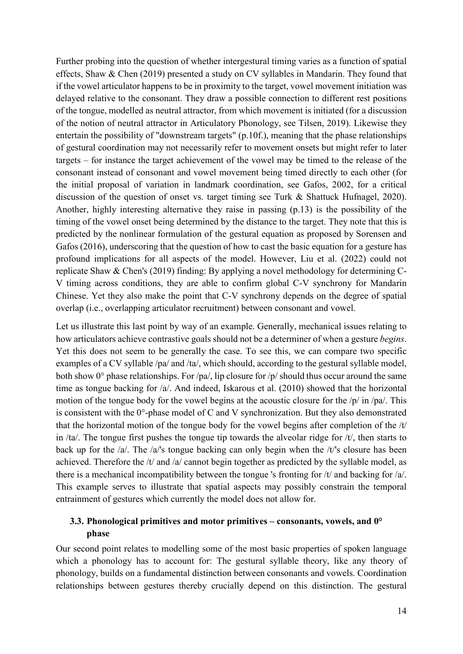Further probing into the question of whether intergestural timing varies as a function of spatial effects, Shaw & Chen (2019) presented a study on CV syllables in Mandarin. They found that if the vowel articulator happens to be in proximity to the target, vowel movement initiation was delayed relative to the consonant. They draw a possible connection to different rest positions of the tongue, modelled as neutral attractor, from which movement is initiated (for a discussion of the notion of neutral attractor in Articulatory Phonology, see Tilsen, 2019). Likewise they entertain the possibility of "downstream targets" (p.10f.), meaning that the phase relationships of gestural coordination may not necessarily refer to movement onsets but might refer to later targets – for instance the target achievement of the vowel may be timed to the release of the consonant instead of consonant and vowel movement being timed directly to each other (for the initial proposal of variation in landmark coordination, see Gafos, 2002, for a critical discussion of the question of onset vs. target timing see Turk & Shattuck Hufnagel, 2020). Another, highly interesting alternative they raise in passing (p.13) is the possibility of the timing of the vowel onset being determined by the distance to the target. They note that this is predicted by the nonlinear formulation of the gestural equation as proposed by Sorensen and Gafos (2016), underscoring that the question of how to cast the basic equation for a gesture has profound implications for all aspects of the model. However, Liu et al. (2022) could not replicate Shaw & Chen's (2019) finding: By applying a novel methodology for determining C-V timing across conditions, they are able to confirm global C-V synchrony for Mandarin Chinese. Yet they also make the point that C-V synchrony depends on the degree of spatial overlap (i.e., overlapping articulator recruitment) between consonant and vowel.

Let us illustrate this last point by way of an example. Generally, mechanical issues relating to how articulators achieve contrastive goals should not be a determiner of when a gesture *begins*. Yet this does not seem to be generally the case. To see this, we can compare two specific examples of a CV syllable /pa/ and /ta/, which should, according to the gestural syllable model, both show  $0^{\circ}$  phase relationships. For /pa/, lip closure for /p/ should thus occur around the same time as tongue backing for /a/. And indeed, Iskarous et al. (2010) showed that the horizontal motion of the tongue body for the vowel begins at the acoustic closure for the /p/ in /pa/. This is consistent with the 0°-phase model of C and V synchronization. But they also demonstrated that the horizontal motion of the tongue body for the vowel begins after completion of the /t/ in /ta/. The tongue first pushes the tongue tip towards the alveolar ridge for /t/, then starts to back up for the /a/. The /a/'s tongue backing can only begin when the /t/'s closure has been achieved. Therefore the /t/ and /a/ cannot begin together as predicted by the syllable model, as there is a mechanical incompatibility between the tongue 's fronting for /t/ and backing for /a/. This example serves to illustrate that spatial aspects may possibly constrain the temporal entrainment of gestures which currently the model does not allow for.

## **3.3. Phonological primitives and motor primitives – consonants, vowels, and 0° phase**

Our second point relates to modelling some of the most basic properties of spoken language which a phonology has to account for: The gestural syllable theory, like any theory of phonology, builds on a fundamental distinction between consonants and vowels. Coordination relationships between gestures thereby crucially depend on this distinction. The gestural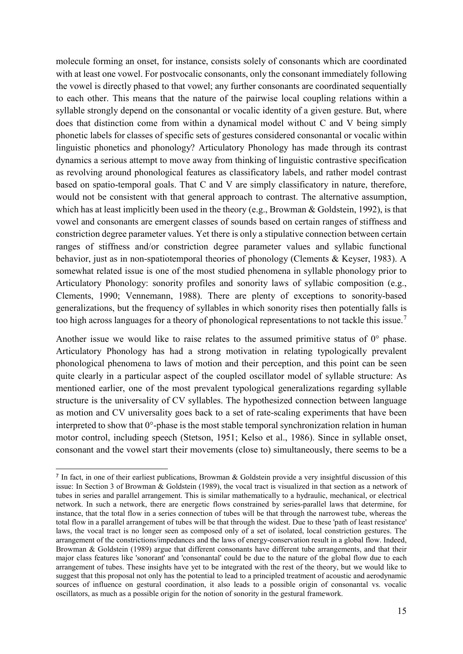molecule forming an onset, for instance, consists solely of consonants which are coordinated with at least one vowel. For postvocalic consonants, only the consonant immediately following the vowel is directly phased to that vowel; any further consonants are coordinated sequentially to each other. This means that the nature of the pairwise local coupling relations within a syllable strongly depend on the consonantal or vocalic identity of a given gesture. But, where does that distinction come from within a dynamical model without C and V being simply phonetic labels for classes of specific sets of gestures considered consonantal or vocalic within linguistic phonetics and phonology? Articulatory Phonology has made through its contrast dynamics a serious attempt to move away from thinking of linguistic contrastive specification as revolving around phonological features as classificatory labels, and rather model contrast based on spatio-temporal goals. That C and V are simply classificatory in nature, therefore, would not be consistent with that general approach to contrast. The alternative assumption, which has at least implicitly been used in the theory (e.g., Browman & Goldstein, 1992), is that vowel and consonants are emergent classes of sounds based on certain ranges of stiffness and constriction degree parameter values. Yet there is only a stipulative connection between certain ranges of stiffness and/or constriction degree parameter values and syllabic functional behavior, just as in non-spatiotemporal theories of phonology (Clements & Keyser, 1983). A somewhat related issue is one of the most studied phenomena in syllable phonology prior to Articulatory Phonology: sonority profiles and sonority laws of syllabic composition (e.g., Clements, 1990; Vennemann, 1988). There are plenty of exceptions to sonority-based generalizations, but the frequency of syllables in which sonority rises then potentially falls is too high across languages for a theory of phonological representations to not tackle this issue.<sup>[7](#page-15-0)</sup>

Another issue we would like to raise relates to the assumed primitive status of  $0^{\circ}$  phase. Articulatory Phonology has had a strong motivation in relating typologically prevalent phonological phenomena to laws of motion and their perception, and this point can be seen quite clearly in a particular aspect of the coupled oscillator model of syllable structure: As mentioned earlier, one of the most prevalent typological generalizations regarding syllable structure is the universality of CV syllables. The hypothesized connection between language as motion and CV universality goes back to a set of rate-scaling experiments that have been interpreted to show that  $0^{\circ}$ -phase is the most stable temporal synchronization relation in human motor control, including speech (Stetson, 1951; Kelso et al., 1986). Since in syllable onset, consonant and the vowel start their movements (close to) simultaneously, there seems to be a

<span id="page-15-0"></span> <sup>7</sup> In fact, in one of their earliest publications, Browman & Goldstein provide <sup>a</sup> very insightful discussion of this issue: In Section 3 of Browman & Goldstein (1989), the vocal tract is visualized in that section as a network of tubes in series and parallel arrangement. This is similar mathematically to a hydraulic, mechanical, or electrical network. In such a network, there are energetic flows constrained by series-parallel laws that determine, for instance, that the total flow in a series connection of tubes will be that through the narrowest tube, whereas the total flow in a parallel arrangement of tubes will be that through the widest. Due to these 'path of least resistance' laws, the vocal tract is no longer seen as composed only of a set of isolated, local constriction gestures. The arrangement of the constrictions/impedances and the laws of energy-conservation result in a global flow. Indeed, Browman & Goldstein (1989) argue that different consonants have different tube arrangements, and that their major class features like 'sonorant' and 'consonantal' could be due to the nature of the global flow due to each arrangement of tubes. These insights have yet to be integrated with the rest of the theory, but we would like to suggest that this proposal not only has the potential to lead to a principled treatment of acoustic and aerodynamic sources of influence on gestural coordination, it also leads to a possible origin of consonantal vs. vocalic oscillators, as much as a possible origin for the notion of sonority in the gestural framework.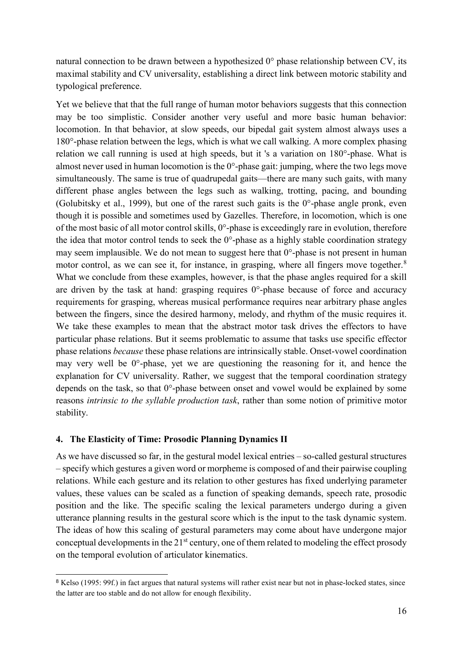natural connection to be drawn between a hypothesized 0° phase relationship between CV, its maximal stability and CV universality, establishing a direct link between motoric stability and typological preference.

Yet we believe that that the full range of human motor behaviors suggests that this connection may be too simplistic. Consider another very useful and more basic human behavior: locomotion. In that behavior, at slow speeds, our bipedal gait system almost always uses a 180°-phase relation between the legs, which is what we call walking. A more complex phasing relation we call running is used at high speeds, but it 's a variation on 180°-phase. What is almost never used in human locomotion is the 0°-phase gait: jumping, where the two legs move simultaneously. The same is true of quadrupedal gaits—there are many such gaits, with many different phase angles between the legs such as walking, trotting, pacing, and bounding (Golubitsky et al., 1999), but one of the rarest such gaits is the 0°-phase angle pronk, even though it is possible and sometimes used by Gazelles. Therefore, in locomotion, which is one of the most basic of all motor control skills, 0°-phase is exceedingly rare in evolution, therefore the idea that motor control tends to seek the  $0^{\circ}$ -phase as a highly stable coordination strategy may seem implausible. We do not mean to suggest here that 0°-phase is not present in human motor control, as we can see it, for instance, in grasping, where all fingers move together. $8$ What we conclude from these examples, however, is that the phase angles required for a skill are driven by the task at hand: grasping requires  $0^{\circ}$ -phase because of force and accuracy requirements for grasping, whereas musical performance requires near arbitrary phase angles between the fingers, since the desired harmony, melody, and rhythm of the music requires it. We take these examples to mean that the abstract motor task drives the effectors to have particular phase relations. But it seems problematic to assume that tasks use specific effector phase relations *because* these phase relations are intrinsically stable. Onset-vowel coordination may very well be 0°-phase, yet we are questioning the reasoning for it, and hence the explanation for CV universality. Rather, we suggest that the temporal coordination strategy depends on the task, so that 0°-phase between onset and vowel would be explained by some reasons *intrinsic to the syllable production task*, rather than some notion of primitive motor stability.

### **4. The Elasticity of Time: Prosodic Planning Dynamics II**

As we have discussed so far, in the gestural model lexical entries – so-called gestural structures – specify which gestures a given word or morpheme is composed of and their pairwise coupling relations. While each gesture and its relation to other gestures has fixed underlying parameter values, these values can be scaled as a function of speaking demands, speech rate, prosodic position and the like. The specific scaling the lexical parameters undergo during a given utterance planning results in the gestural score which is the input to the task dynamic system. The ideas of how this scaling of gestural parameters may come about have undergone major conceptual developments in the  $21<sup>st</sup>$  century, one of them related to modeling the effect prosody on the temporal evolution of articulator kinematics.

<span id="page-16-0"></span> <sup>8</sup> Kelso (1995: 99f.) in fact argues that natural systems will rather exist near but not in phase-locked states, since the latter are too stable and do not allow for enough flexibility.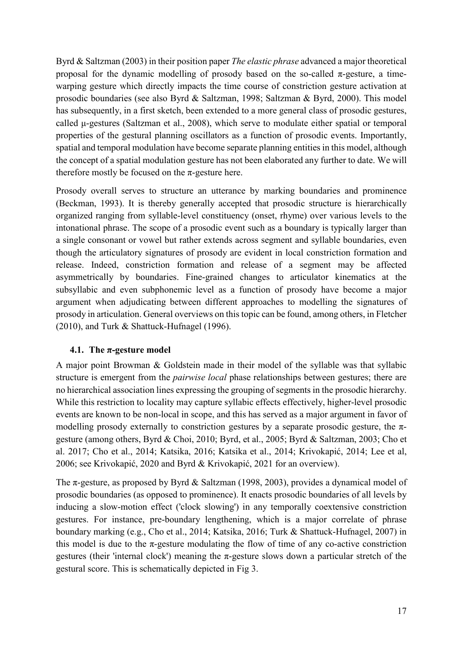Byrd & Saltzman (2003) in their position paper *The elastic phrase* advanced a major theoretical proposal for the dynamic modelling of prosody based on the so-called  $\pi$ -gesture, a timewarping gesture which directly impacts the time course of constriction gesture activation at prosodic boundaries (see also Byrd & Saltzman, 1998; Saltzman & Byrd, 2000). This model has subsequently, in a first sketch, been extended to a more general class of prosodic gestures, called μ-gestures (Saltzman et al., 2008), which serve to modulate either spatial or temporal properties of the gestural planning oscillators as a function of prosodic events. Importantly, spatial and temporal modulation have become separate planning entities in this model, although the concept of a spatial modulation gesture has not been elaborated any further to date. We will therefore mostly be focused on the  $\pi$ -gesture here.

Prosody overall serves to structure an utterance by marking boundaries and prominence (Beckman, 1993). It is thereby generally accepted that prosodic structure is hierarchically organized ranging from syllable-level constituency (onset, rhyme) over various levels to the intonational phrase. The scope of a prosodic event such as a boundary is typically larger than a single consonant or vowel but rather extends across segment and syllable boundaries, even though the articulatory signatures of prosody are evident in local constriction formation and release. Indeed, constriction formation and release of a segment may be affected asymmetrically by boundaries. Fine-grained changes to articulator kinematics at the subsyllabic and even subphonemic level as a function of prosody have become a major argument when adjudicating between different approaches to modelling the signatures of prosody in articulation. General overviews on this topic can be found, among others, in Fletcher (2010), and Turk & Shattuck-Hufnagel (1996).

## **4.1. The π-gesture model**

A major point Browman & Goldstein made in their model of the syllable was that syllabic structure is emergent from the *pairwise local* phase relationships between gestures; there are no hierarchical association lines expressing the grouping of segments in the prosodic hierarchy. While this restriction to locality may capture syllabic effects effectively, higher-level prosodic events are known to be non-local in scope, and this has served as a major argument in favor of modelling prosody externally to constriction gestures by a separate prosodic gesture, the  $\pi$ gesture (among others, Byrd & Choi, 2010; Byrd, et al., 2005; Byrd & Saltzman, 2003; Cho et al. 2017; Cho et al., 2014; Katsika, 2016; Katsika et al., 2014; Krivokapić, 2014; Lee et al, 2006; see Krivokapić, 2020 and Byrd & Krivokapić, 2021 for an overview).

The π-gesture, as proposed by Byrd & Saltzman (1998, 2003), provides a dynamical model of prosodic boundaries (as opposed to prominence). It enacts prosodic boundaries of all levels by inducing a slow-motion effect ('clock slowing') in any temporally coextensive constriction gestures. For instance, pre-boundary lengthening, which is a major correlate of phrase boundary marking (e.g., Cho et al., 2014; Katsika, 2016; Turk & Shattuck-Hufnagel, 2007) in this model is due to the  $\pi$ -gesture modulating the flow of time of any co-active constriction gestures (their 'internal clock') meaning the  $\pi$ -gesture slows down a particular stretch of the gestural score. This is schematically depicted in Fig 3.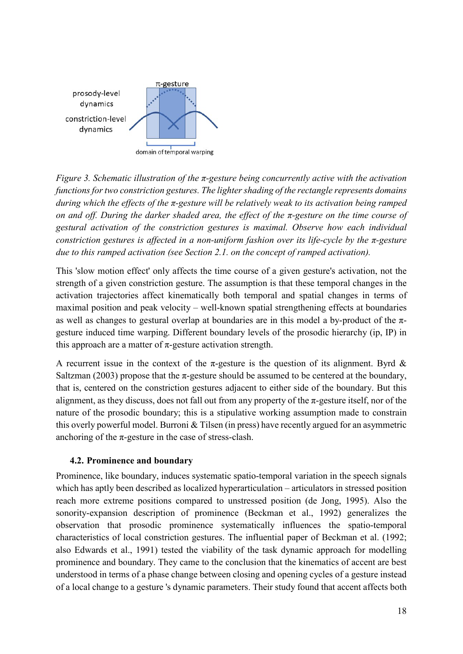

*Figure 3. Schematic illustration of the π-gesture being concurrently active with the activation functions for two constriction gestures. The lighter shading of the rectangle represents domains during which the effects of the π-gesture will be relatively weak to its activation being ramped on and off. During the darker shaded area, the effect of the π-gesture on the time course of gestural activation of the constriction gestures is maximal. Observe how each individual constriction gestures is affected in a non-uniform fashion over its life-cycle by the π-gesture due to this ramped activation (see Section 2.1. on the concept of ramped activation).*

This 'slow motion effect' only affects the time course of a given gesture's activation, not the strength of a given constriction gesture. The assumption is that these temporal changes in the activation trajectories affect kinematically both temporal and spatial changes in terms of maximal position and peak velocity – well-known spatial strengthening effects at boundaries as well as changes to gestural overlap at boundaries are in this model a by-product of the  $\pi$ gesture induced time warping. Different boundary levels of the prosodic hierarchy (ip, IP) in this approach are a matter of  $\pi$ -gesture activation strength.

A recurrent issue in the context of the  $\pi$ -gesture is the question of its alignment. Byrd & Saltzman (2003) propose that the  $\pi$ -gesture should be assumed to be centered at the boundary, that is, centered on the constriction gestures adjacent to either side of the boundary. But this alignment, as they discuss, does not fall out from any property of the  $\pi$ -gesture itself, nor of the nature of the prosodic boundary; this is a stipulative working assumption made to constrain this overly powerful model. Burroni & Tilsen (in press) have recently argued for an asymmetric anchoring of the  $\pi$ -gesture in the case of stress-clash.

## **4.2. Prominence and boundary**

Prominence, like boundary, induces systematic spatio-temporal variation in the speech signals which has aptly been described as localized hyperarticulation – articulators in stressed position reach more extreme positions compared to unstressed position (de Jong, 1995). Also the sonority-expansion description of prominence (Beckman et al., 1992) generalizes the observation that prosodic prominence systematically influences the spatio-temporal characteristics of local constriction gestures. The influential paper of Beckman et al. (1992; also Edwards et al., 1991) tested the viability of the task dynamic approach for modelling prominence and boundary. They came to the conclusion that the kinematics of accent are best understood in terms of a phase change between closing and opening cycles of a gesture instead of a local change to a gesture 's dynamic parameters. Their study found that accent affects both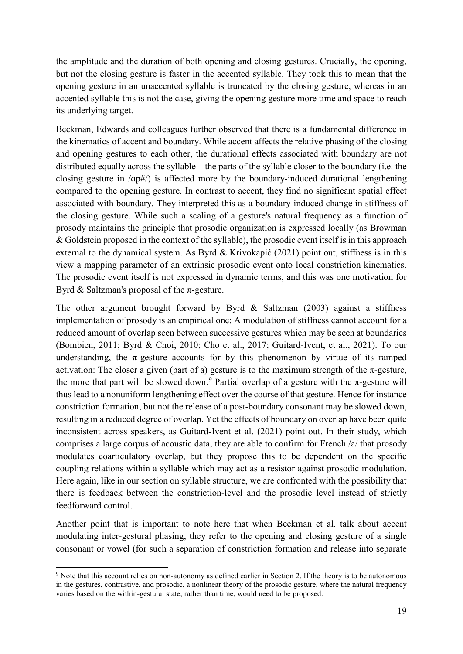the amplitude and the duration of both opening and closing gestures. Crucially, the opening, but not the closing gesture is faster in the accented syllable. They took this to mean that the opening gesture in an unaccented syllable is truncated by the closing gesture, whereas in an accented syllable this is not the case, giving the opening gesture more time and space to reach its underlying target.

Beckman, Edwards and colleagues further observed that there is a fundamental difference in the kinematics of accent and boundary. While accent affects the relative phasing of the closing and opening gestures to each other, the durational effects associated with boundary are not distributed equally across the syllable – the parts of the syllable closer to the boundary (i.e. the closing gesture in /ɑp#/) is affected more by the boundary-induced durational lengthening compared to the opening gesture. In contrast to accent, they find no significant spatial effect associated with boundary. They interpreted this as a boundary-induced change in stiffness of the closing gesture. While such a scaling of a gesture's natural frequency as a function of prosody maintains the principle that prosodic organization is expressed locally (as Browman & Goldstein proposed in the context of the syllable), the prosodic event itself is in this approach external to the dynamical system. As Byrd & Krivokapić (2021) point out, stiffness is in this view a mapping parameter of an extrinsic prosodic event onto local constriction kinematics. The prosodic event itself is not expressed in dynamic terms, and this was one motivation for Byrd  $&$  Saltzman's proposal of the  $\pi$ -gesture.

The other argument brought forward by Byrd & Saltzman (2003) against a stiffness implementation of prosody is an empirical one: A modulation of stiffness cannot account for a reduced amount of overlap seen between successive gestures which may be seen at boundaries (Bombien, 2011; Byrd & Choi, 2010; Cho et al., 2017; Guitard-Ivent, et al., 2021). To our understanding, the  $\pi$ -gesture accounts for by this phenomenon by virtue of its ramped activation: The closer a given (part of a) gesture is to the maximum strength of the  $\pi$ -gesture, the more that part will be slowed down.<sup>[9](#page-19-0)</sup> Partial overlap of a gesture with the  $\pi$ -gesture will thus lead to a nonuniform lengthening effect over the course of that gesture. Hence for instance constriction formation, but not the release of a post-boundary consonant may be slowed down, resulting in a reduced degree of overlap. Yet the effects of boundary on overlap have been quite inconsistent across speakers, as Guitard-Ivent et al. (2021) point out. In their study, which comprises a large corpus of acoustic data, they are able to confirm for French /a/ that prosody modulates coarticulatory overlap, but they propose this to be dependent on the specific coupling relations within a syllable which may act as a resistor against prosodic modulation. Here again, like in our section on syllable structure, we are confronted with the possibility that there is feedback between the constriction-level and the prosodic level instead of strictly feedforward control.

Another point that is important to note here that when Beckman et al. talk about accent modulating inter-gestural phasing, they refer to the opening and closing gesture of a single consonant or vowel (for such a separation of constriction formation and release into separate

<span id="page-19-0"></span><sup>-</sup><sup>9</sup> Note that this account relies on non-autonomy as defined earlier in Section 2. If the theory is to be autonomous in the gestures, contrastive, and prosodic, a nonlinear theory of the prosodic gesture, where the natural frequency varies based on the within-gestural state, rather than time, would need to be proposed.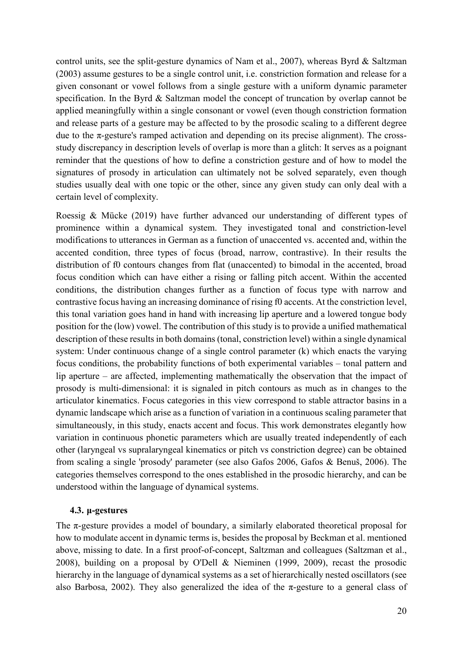control units, see the split-gesture dynamics of Nam et al., 2007), whereas Byrd & Saltzman (2003) assume gestures to be a single control unit, i.e. constriction formation and release for a given consonant or vowel follows from a single gesture with a uniform dynamic parameter specification. In the Byrd & Saltzman model the concept of truncation by overlap cannot be applied meaningfully within a single consonant or vowel (even though constriction formation and release parts of a gesture may be affected to by the prosodic scaling to a different degree due to the  $\pi$ -gesture's ramped activation and depending on its precise alignment). The crossstudy discrepancy in description levels of overlap is more than a glitch: It serves as a poignant reminder that the questions of how to define a constriction gesture and of how to model the signatures of prosody in articulation can ultimately not be solved separately, even though studies usually deal with one topic or the other, since any given study can only deal with a certain level of complexity.

Roessig & Mücke (2019) have further advanced our understanding of different types of prominence within a dynamical system. They investigated tonal and constriction-level modifications to utterances in German as a function of unaccented vs. accented and, within the accented condition, three types of focus (broad, narrow, contrastive). In their results the distribution of f0 contours changes from flat (unaccented) to bimodal in the accented, broad focus condition which can have either a rising or falling pitch accent. Within the accented conditions, the distribution changes further as a function of focus type with narrow and contrastive focus having an increasing dominance of rising f0 accents. At the constriction level, this tonal variation goes hand in hand with increasing lip aperture and a lowered tongue body position for the (low) vowel. The contribution of this study is to provide a unified mathematical description of these results in both domains (tonal, constriction level) within a single dynamical system: Under continuous change of a single control parameter (k) which enacts the varying focus conditions, the probability functions of both experimental variables – tonal pattern and lip aperture – are affected, implementing mathematically the observation that the impact of prosody is multi-dimensional: it is signaled in pitch contours as much as in changes to the articulator kinematics. Focus categories in this view correspond to stable attractor basins in a dynamic landscape which arise as a function of variation in a continuous scaling parameter that simultaneously, in this study, enacts accent and focus. This work demonstrates elegantly how variation in continuous phonetic parameters which are usually treated independently of each other (laryngeal vs supralaryngeal kinematics or pitch vs constriction degree) can be obtained from scaling a single 'prosody' parameter (see also Gafos 2006, Gafos & Benuš, 2006). The categories themselves correspond to the ones established in the prosodic hierarchy, and can be understood within the language of dynamical systems.

### **4.3. μ-gestures**

The π-gesture provides a model of boundary, a similarly elaborated theoretical proposal for how to modulate accent in dynamic terms is, besides the proposal by Beckman et al. mentioned above, missing to date. In a first proof-of-concept, Saltzman and colleagues (Saltzman et al., 2008), building on a proposal by O'Dell & Nieminen (1999, 2009), recast the prosodic hierarchy in the language of dynamical systems as a set of hierarchically nested oscillators (see also Barbosa, 2002). They also generalized the idea of the  $\pi$ -gesture to a general class of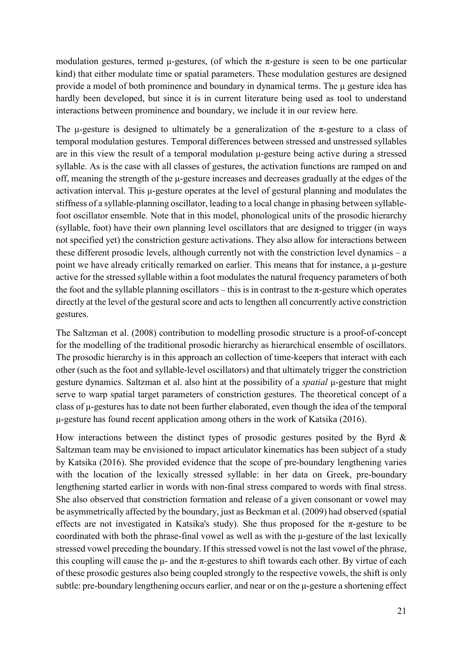modulation gestures, termed  $\mu$ -gestures, (of which the  $\pi$ -gesture is seen to be one particular kind) that either modulate time or spatial parameters. These modulation gestures are designed provide a model of both prominence and boundary in dynamical terms. The μ gesture idea has hardly been developed, but since it is in current literature being used as tool to understand interactions between prominence and boundary, we include it in our review here.

The μ-gesture is designed to ultimately be a generalization of the  $\pi$ -gesture to a class of temporal modulation gestures. Temporal differences between stressed and unstressed syllables are in this view the result of a temporal modulation μ-gesture being active during a stressed syllable. As is the case with all classes of gestures, the activation functions are ramped on and off, meaning the strength of the μ-gesture increases and decreases gradually at the edges of the activation interval. This μ-gesture operates at the level of gestural planning and modulates the stiffness of a syllable-planning oscillator, leading to a local change in phasing between syllablefoot oscillator ensemble. Note that in this model, phonological units of the prosodic hierarchy (syllable, foot) have their own planning level oscillators that are designed to trigger (in ways not specified yet) the constriction gesture activations. They also allow for interactions between these different prosodic levels, although currently not with the constriction level dynamics – a point we have already critically remarked on earlier. This means that for instance, a μ-gesture active for the stressed syllable within a foot modulates the natural frequency parameters of both the foot and the syllable planning oscillators – this is in contrast to the  $\pi$ -gesture which operates directly at the level of the gestural score and acts to lengthen all concurrently active constriction gestures.

The Saltzman et al. (2008) contribution to modelling prosodic structure is a proof-of-concept for the modelling of the traditional prosodic hierarchy as hierarchical ensemble of oscillators. The prosodic hierarchy is in this approach an collection of time-keepers that interact with each other (such as the foot and syllable-level oscillators) and that ultimately trigger the constriction gesture dynamics. Saltzman et al. also hint at the possibility of a *spatial* μ-gesture that might serve to warp spatial target parameters of constriction gestures. The theoretical concept of a class of μ-gestures has to date not been further elaborated, even though the idea of the temporal μ-gesture has found recent application among others in the work of Katsika (2016).

How interactions between the distinct types of prosodic gestures posited by the Byrd  $\&$ Saltzman team may be envisioned to impact articulator kinematics has been subject of a study by Katsika (2016). She provided evidence that the scope of pre-boundary lengthening varies with the location of the lexically stressed syllable: in her data on Greek, pre-boundary lengthening started earlier in words with non-final stress compared to words with final stress. She also observed that constriction formation and release of a given consonant or vowel may be asymmetrically affected by the boundary, just as Beckman et al. (2009) had observed (spatial effects are not investigated in Katsika's study). She thus proposed for the  $\pi$ -gesture to be coordinated with both the phrase-final vowel as well as with the μ-gesture of the last lexically stressed vowel preceding the boundary. If this stressed vowel is not the last vowel of the phrase, this coupling will cause the  $\mu$ - and the  $\pi$ -gestures to shift towards each other. By virtue of each of these prosodic gestures also being coupled strongly to the respective vowels, the shift is only subtle: pre-boundary lengthening occurs earlier, and near or on the μ-gesture a shortening effect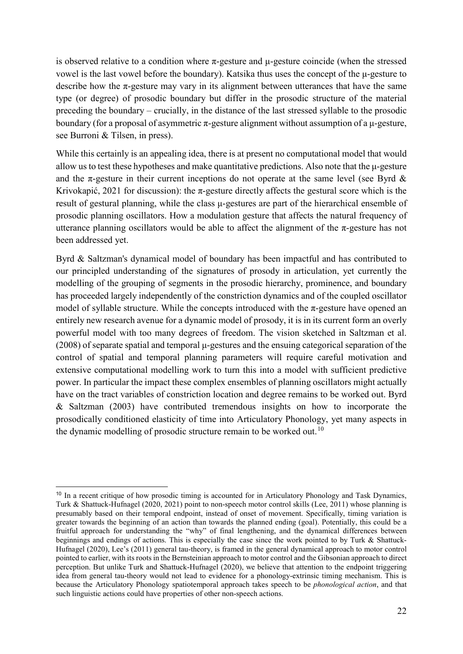is observed relative to a condition where  $\pi$ -gesture and  $\mu$ -gesture coincide (when the stressed vowel is the last vowel before the boundary). Katsika thus uses the concept of the μ-gesture to describe how the  $\pi$ -gesture may vary in its alignment between utterances that have the same type (or degree) of prosodic boundary but differ in the prosodic structure of the material preceding the boundary – crucially, in the distance of the last stressed syllable to the prosodic boundary (for a proposal of asymmetric  $\pi$ -gesture alignment without assumption of a  $\mu$ -gesture, see Burroni & Tilsen, in press).

While this certainly is an appealing idea, there is at present no computational model that would allow us to test these hypotheses and make quantitative predictions. Also note that the μ-gesture and the  $\pi$ -gesture in their current inceptions do not operate at the same level (see Byrd  $\&$ Krivokapić, 2021 for discussion): the  $\pi$ -gesture directly affects the gestural score which is the result of gestural planning, while the class μ-gestures are part of the hierarchical ensemble of prosodic planning oscillators. How a modulation gesture that affects the natural frequency of utterance planning oscillators would be able to affect the alignment of the  $\pi$ -gesture has not been addressed yet.

Byrd & Saltzman's dynamical model of boundary has been impactful and has contributed to our principled understanding of the signatures of prosody in articulation, yet currently the modelling of the grouping of segments in the prosodic hierarchy, prominence, and boundary has proceeded largely independently of the constriction dynamics and of the coupled oscillator model of syllable structure. While the concepts introduced with the  $\pi$ -gesture have opened an entirely new research avenue for a dynamic model of prosody, it is in its current form an overly powerful model with too many degrees of freedom. The vision sketched in Saltzman et al. (2008) of separate spatial and temporal μ-gestures and the ensuing categorical separation of the control of spatial and temporal planning parameters will require careful motivation and extensive computational modelling work to turn this into a model with sufficient predictive power. In particular the impact these complex ensembles of planning oscillators might actually have on the tract variables of constriction location and degree remains to be worked out. Byrd & Saltzman (2003) have contributed tremendous insights on how to incorporate the prosodically conditioned elasticity of time into Articulatory Phonology, yet many aspects in the dynamic modelling of prosodic structure remain to be worked out.<sup>[10](#page-22-0)</sup>

<span id="page-22-0"></span><sup>&</sup>lt;sup>10</sup> In a recent critique of how prosodic timing is accounted for in Articulatory Phonology and Task Dynamics, Turk & Shattuck-Hufnagel (2020, 2021) point to non-speech motor control skills (Lee, 2011) whose planning is presumably based on their temporal endpoint, instead of onset of movement. Specifically, timing variation is greater towards the beginning of an action than towards the planned ending (goal). Potentially, this could be a fruitful approach for understanding the "why" of final lengthening, and the dynamical differences between beginnings and endings of actions. This is especially the case since the work pointed to by Turk & Shattuck-Hufnagel (2020), Lee's (2011) general tau-theory, is framed in the general dynamical approach to motor control pointed to earlier, with its roots in the Bernsteinian approach to motor control and the Gibsonian approach to direct perception. But unlike Turk and Shattuck-Hufnagel (2020), we believe that attention to the endpoint triggering idea from general tau-theory would not lead to evidence for a phonology-extrinsic timing mechanism. This is because the Articulatory Phonology spatiotemporal approach takes speech to be *phonological action*, and that such linguistic actions could have properties of other non-speech actions.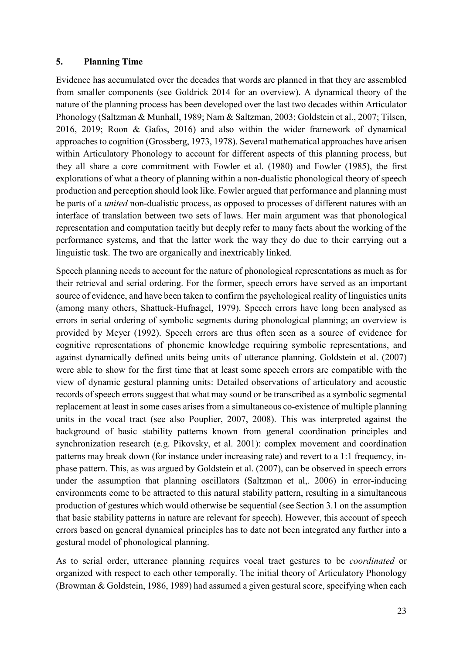### **5. Planning Time**

Evidence has accumulated over the decades that words are planned in that they are assembled from smaller components (see Goldrick 2014 for an overview). A dynamical theory of the nature of the planning process has been developed over the last two decades within Articulator Phonology (Saltzman & Munhall, 1989; Nam & Saltzman, 2003; Goldstein et al., 2007; Tilsen, 2016, 2019; Roon & Gafos, 2016) and also within the wider framework of dynamical approaches to cognition (Grossberg, 1973, 1978). Several mathematical approaches have arisen within Articulatory Phonology to account for different aspects of this planning process, but they all share a core commitment with Fowler et al. (1980) and Fowler (1985), the first explorations of what a theory of planning within a non-dualistic phonological theory of speech production and perception should look like. Fowler argued that performance and planning must be parts of a *united* non-dualistic process, as opposed to processes of different natures with an interface of translation between two sets of laws. Her main argument was that phonological representation and computation tacitly but deeply refer to many facts about the working of the performance systems, and that the latter work the way they do due to their carrying out a linguistic task. The two are organically and inextricably linked.

Speech planning needs to account for the nature of phonological representations as much as for their retrieval and serial ordering. For the former, speech errors have served as an important source of evidence, and have been taken to confirm the psychological reality of linguistics units (among many others, Shattuck-Hufnagel, 1979). Speech errors have long been analysed as errors in serial ordering of symbolic segments during phonological planning; an overview is provided by Meyer (1992). Speech errors are thus often seen as a source of evidence for cognitive representations of phonemic knowledge requiring symbolic representations, and against dynamically defined units being units of utterance planning. Goldstein et al. (2007) were able to show for the first time that at least some speech errors are compatible with the view of dynamic gestural planning units: Detailed observations of articulatory and acoustic records of speech errors suggest that what may sound or be transcribed as a symbolic segmental replacement at least in some cases arises from a simultaneous co-existence of multiple planning units in the vocal tract (see also Pouplier, 2007, 2008). This was interpreted against the background of basic stability patterns known from general coordination principles and synchronization research (e.g. Pikovsky, et al. 2001): complex movement and coordination patterns may break down (for instance under increasing rate) and revert to a 1:1 frequency, inphase pattern. This, as was argued by Goldstein et al. (2007), can be observed in speech errors under the assumption that planning oscillators (Saltzman et al,. 2006) in error-inducing environments come to be attracted to this natural stability pattern, resulting in a simultaneous production of gestures which would otherwise be sequential (see Section 3.1 on the assumption that basic stability patterns in nature are relevant for speech). However, this account of speech errors based on general dynamical principles has to date not been integrated any further into a gestural model of phonological planning.

As to serial order, utterance planning requires vocal tract gestures to be *coordinated* or organized with respect to each other temporally. The initial theory of Articulatory Phonology (Browman & Goldstein, 1986, 1989) had assumed a given gestural score, specifying when each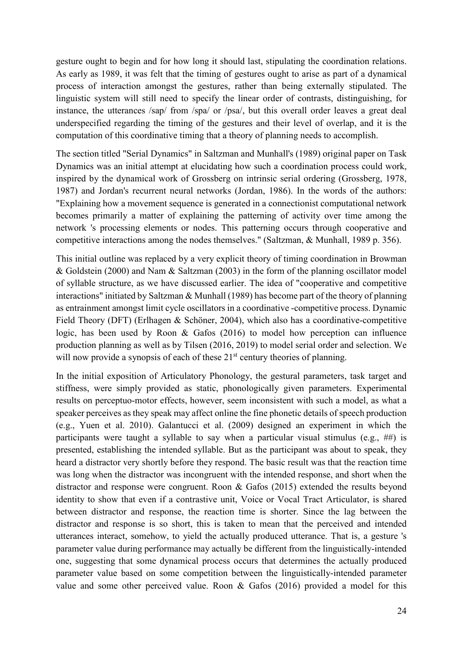gesture ought to begin and for how long it should last, stipulating the coordination relations. As early as 1989, it was felt that the timing of gestures ought to arise as part of a dynamical process of interaction amongst the gestures, rather than being externally stipulated. The linguistic system will still need to specify the linear order of contrasts, distinguishing, for instance, the utterances /sap/ from /spa/ or /psa/, but this overall order leaves a great deal underspecified regarding the timing of the gestures and their level of overlap, and it is the computation of this coordinative timing that a theory of planning needs to accomplish.

The section titled "Serial Dynamics" in Saltzman and Munhall's (1989) original paper on Task Dynamics was an initial attempt at elucidating how such a coordination process could work, inspired by the dynamical work of Grossberg on intrinsic serial ordering (Grossberg, 1978, 1987) and Jordan's recurrent neural networks (Jordan, 1986). In the words of the authors: "Explaining how a movement sequence is generated in a connectionist computational network becomes primarily a matter of explaining the patterning of activity over time among the network 's processing elements or nodes. This patterning occurs through cooperative and competitive interactions among the nodes themselves." (Saltzman, & Munhall, 1989 p. 356).

This initial outline was replaced by a very explicit theory of timing coordination in Browman & Goldstein (2000) and Nam & Saltzman (2003) in the form of the planning oscillator model of syllable structure, as we have discussed earlier. The idea of "cooperative and competitive interactions" initiated by Saltzman & Munhall (1989) has become part of the theory of planning as entrainment amongst limit cycle oscillators in a coordinative -competitive process. Dynamic Field Theory (DFT) (Erlhagen & Schöner, 2004), which also has a coordinative-competitive logic, has been used by Roon & Gafos (2016) to model how perception can influence production planning as well as by Tilsen (2016, 2019) to model serial order and selection. We will now provide a synopsis of each of these  $21<sup>st</sup>$  century theories of planning.

In the initial exposition of Articulatory Phonology, the gestural parameters, task target and stiffness, were simply provided as static, phonologically given parameters. Experimental results on perceptuo-motor effects, however, seem inconsistent with such a model, as what a speaker perceives as they speak may affect online the fine phonetic details of speech production (e.g., Yuen et al. 2010). Galantucci et al. (2009) designed an experiment in which the participants were taught a syllable to say when a particular visual stimulus (e.g., ##) is presented, establishing the intended syllable. But as the participant was about to speak, they heard a distractor very shortly before they respond. The basic result was that the reaction time was long when the distractor was incongruent with the intended response, and short when the distractor and response were congruent. Roon & Gafos (2015) extended the results beyond identity to show that even if a contrastive unit, Voice or Vocal Tract Articulator, is shared between distractor and response, the reaction time is shorter. Since the lag between the distractor and response is so short, this is taken to mean that the perceived and intended utterances interact, somehow, to yield the actually produced utterance. That is, a gesture 's parameter value during performance may actually be different from the linguistically-intended one, suggesting that some dynamical process occurs that determines the actually produced parameter value based on some competition between the linguistically-intended parameter value and some other perceived value. Roon & Gafos (2016) provided a model for this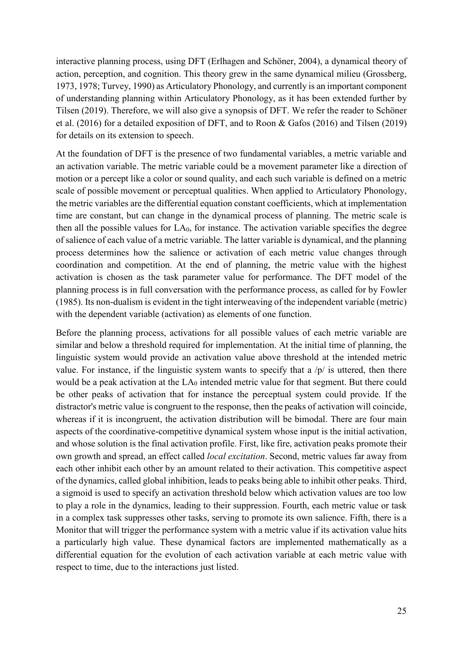interactive planning process, using DFT (Erlhagen and Schöner, 2004), a dynamical theory of action, perception, and cognition. This theory grew in the same dynamical milieu (Grossberg, 1973, 1978; Turvey, 1990) as Articulatory Phonology, and currently is an important component of understanding planning within Articulatory Phonology, as it has been extended further by Tilsen (2019). Therefore, we will also give a synopsis of DFT. We refer the reader to Schöner et al. (2016) for a detailed exposition of DFT, and to Roon & Gafos (2016) and Tilsen (2019) for details on its extension to speech.

At the foundation of DFT is the presence of two fundamental variables, a metric variable and an activation variable. The metric variable could be a movement parameter like a direction of motion or a percept like a color or sound quality, and each such variable is defined on a metric scale of possible movement or perceptual qualities. When applied to Articulatory Phonology, the metric variables are the differential equation constant coefficients, which at implementation time are constant, but can change in the dynamical process of planning. The metric scale is then all the possible values for  $LA<sub>0</sub>$ , for instance. The activation variable specifies the degree of salience of each value of a metric variable. The latter variable is dynamical, and the planning process determines how the salience or activation of each metric value changes through coordination and competition. At the end of planning, the metric value with the highest activation is chosen as the task parameter value for performance. The DFT model of the planning process is in full conversation with the performance process, as called for by Fowler (1985). Its non-dualism is evident in the tight interweaving of the independent variable (metric) with the dependent variable (activation) as elements of one function.

Before the planning process, activations for all possible values of each metric variable are similar and below a threshold required for implementation. At the initial time of planning, the linguistic system would provide an activation value above threshold at the intended metric value. For instance, if the linguistic system wants to specify that a  $/p/$  is uttered, then there would be a peak activation at the LA<sub>0</sub> intended metric value for that segment. But there could be other peaks of activation that for instance the perceptual system could provide. If the distractor's metric value is congruent to the response, then the peaks of activation will coincide, whereas if it is incongruent, the activation distribution will be bimodal. There are four main aspects of the coordinative-competitive dynamical system whose input is the initial activation, and whose solution is the final activation profile. First, like fire, activation peaks promote their own growth and spread, an effect called *local excitation*. Second, metric values far away from each other inhibit each other by an amount related to their activation. This competitive aspect of the dynamics, called global inhibition, leads to peaks being able to inhibit other peaks. Third, a sigmoid is used to specify an activation threshold below which activation values are too low to play a role in the dynamics, leading to their suppression. Fourth, each metric value or task in a complex task suppresses other tasks, serving to promote its own salience. Fifth, there is a Monitor that will trigger the performance system with a metric value if its activation value hits a particularly high value. These dynamical factors are implemented mathematically as a differential equation for the evolution of each activation variable at each metric value with respect to time, due to the interactions just listed.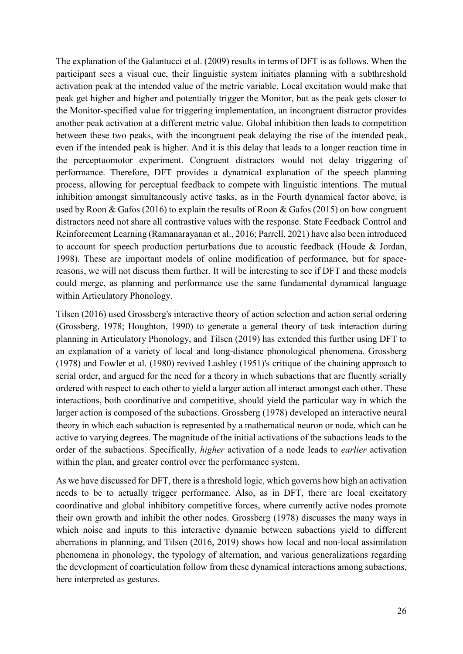The explanation of the Galantucci et al. (2009) results in terms of DFT is as follows. When the participant sees a visual cue, their linguistic system initiates planning with a subthreshold activation peak at the intended value of the metric variable. Local excitation would make that peak get higher and higher and potentially trigger the Monitor, but as the peak gets closer to the Monitor-specified value for triggering implementation, an incongruent distractor provides another peak activation at a different metric value. Global inhibition then leads to competition between these two peaks, with the incongruent peak delaying the rise of the intended peak, even if the intended peak is higher. And it is this delay that leads to a longer reaction time in the perceptuomotor experiment. Congruent distractors would not delay triggering of performance. Therefore, DFT provides a dynamical explanation of the speech planning process, allowing for perceptual feedback to compete with linguistic intentions. The mutual inhibition amongst simultaneously active tasks, as in the Fourth dynamical factor above, is used by Roon & Gafos (2016) to explain the results of Roon & Gafos (2015) on how congruent distractors need not share all contrastive values with the response. State Feedback Control and Reinforcement Learning (Ramanarayanan et al., 2016; Parrell, 2021) have also been introduced to account for speech production perturbations due to acoustic feedback (Houde & Jordan, 1998). These are important models of online modification of performance, but for spacereasons, we will not discuss them further. It will be interesting to see if DFT and these models could merge, as planning and performance use the same fundamental dynamical language within Articulatory Phonology.

Tilsen (2016) used Grossberg's interactive theory of action selection and action serial ordering (Grossberg, 1978; Houghton, 1990) to generate a general theory of task interaction during planning in Articulatory Phonology, and Tilsen (2019) has extended this further using DFT to an explanation of a variety of local and long-distance phonological phenomena. Grossberg (1978) and Fowler et al. (1980) revived Lashley (1951)'s critique of the chaining approach to serial order, and argued for the need for a theory in which subactions that are fluently serially ordered with respect to each other to yield a larger action all interact amongst each other. These interactions, both coordinative and competitive, should yield the particular way in which the larger action is composed of the subactions. Grossberg (1978) developed an interactive neural theory in which each subaction is represented by a mathematical neuron or node, which can be active to varying degrees. The magnitude of the initial activations of the subactions leads to the order of the subactions. Specifically, *higher* activation of a node leads to *earlier* activation within the plan, and greater control over the performance system.

As we have discussed for DFT, there is a threshold logic, which governs how high an activation needs to be to actually trigger performance. Also, as in DFT, there are local excitatory coordinative and global inhibitory competitive forces, where currently active nodes promote their own growth and inhibit the other nodes. Grossberg (1978) discusses the many ways in which noise and inputs to this interactive dynamic between subactions yield to different aberrations in planning, and Tilsen (2016, 2019) shows how local and non-local assimilation phenomena in phonology, the typology of alternation, and various generalizations regarding the development of coarticulation follow from these dynamical interactions among subactions, here interpreted as gestures.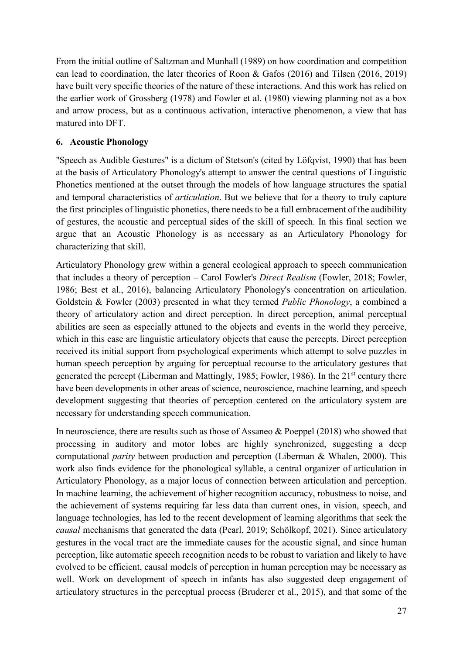From the initial outline of Saltzman and Munhall (1989) on how coordination and competition can lead to coordination, the later theories of Roon & Gafos (2016) and Tilsen (2016, 2019) have built very specific theories of the nature of these interactions. And this work has relied on the earlier work of Grossberg (1978) and Fowler et al. (1980) viewing planning not as a box and arrow process, but as a continuous activation, interactive phenomenon, a view that has matured into DFT.

## **6. Acoustic Phonology**

"Speech as Audible Gestures" is a dictum of Stetson's (cited by Löfqvist, 1990) that has been at the basis of Articulatory Phonology's attempt to answer the central questions of Linguistic Phonetics mentioned at the outset through the models of how language structures the spatial and temporal characteristics of *articulation*. But we believe that for a theory to truly capture the first principles of linguistic phonetics, there needs to be a full embracement of the audibility of gestures, the acoustic and perceptual sides of the skill of speech. In this final section we argue that an Acoustic Phonology is as necessary as an Articulatory Phonology for characterizing that skill.

Articulatory Phonology grew within a general ecological approach to speech communication that includes a theory of perception – Carol Fowler's *Direct Realism* (Fowler, 2018; Fowler, 1986; Best et al., 2016), balancing Articulatory Phonology's concentration on articulation. Goldstein & Fowler (2003) presented in what they termed *Public Phonology*, a combined a theory of articulatory action and direct perception. In direct perception, animal perceptual abilities are seen as especially attuned to the objects and events in the world they perceive, which in this case are linguistic articulatory objects that cause the percepts. Direct perception received its initial support from psychological experiments which attempt to solve puzzles in human speech perception by arguing for perceptual recourse to the articulatory gestures that generated the percept (Liberman and Mattingly, 1985; Fowler, 1986). In the 21<sup>st</sup> century there have been developments in other areas of science, neuroscience, machine learning, and speech development suggesting that theories of perception centered on the articulatory system are necessary for understanding speech communication.

In neuroscience, there are results such as those of Assaneo & Poeppel (2018) who showed that processing in auditory and motor lobes are highly synchronized, suggesting a deep computational *parity* between production and perception (Liberman & Whalen, 2000). This work also finds evidence for the phonological syllable, a central organizer of articulation in Articulatory Phonology, as a major locus of connection between articulation and perception. In machine learning, the achievement of higher recognition accuracy, robustness to noise, and the achievement of systems requiring far less data than current ones, in vision, speech, and language technologies, has led to the recent development of learning algorithms that seek the *causal* mechanisms that generated the data (Pearl, 2019; Schölkopf, 2021). Since articulatory gestures in the vocal tract are the immediate causes for the acoustic signal, and since human perception, like automatic speech recognition needs to be robust to variation and likely to have evolved to be efficient, causal models of perception in human perception may be necessary as well. Work on development of speech in infants has also suggested deep engagement of articulatory structures in the perceptual process (Bruderer et al., 2015), and that some of the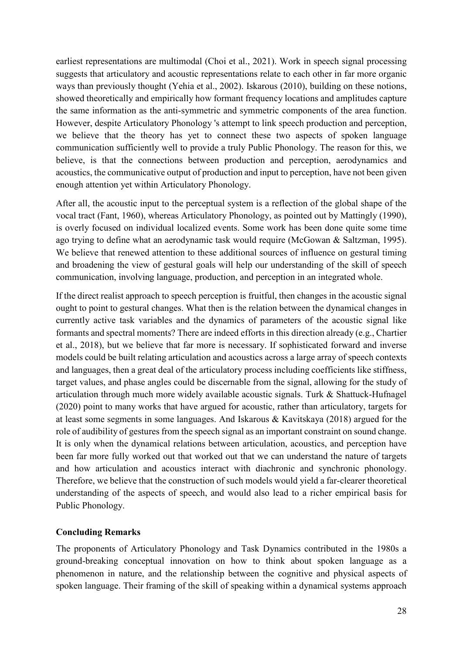earliest representations are multimodal (Choi et al., 2021). Work in speech signal processing suggests that articulatory and acoustic representations relate to each other in far more organic ways than previously thought (Yehia et al., 2002). Iskarous (2010), building on these notions, showed theoretically and empirically how formant frequency locations and amplitudes capture the same information as the anti-symmetric and symmetric components of the area function. However, despite Articulatory Phonology 's attempt to link speech production and perception, we believe that the theory has yet to connect these two aspects of spoken language communication sufficiently well to provide a truly Public Phonology. The reason for this, we believe, is that the connections between production and perception, aerodynamics and acoustics, the communicative output of production and input to perception, have not been given enough attention yet within Articulatory Phonology.

After all, the acoustic input to the perceptual system is a reflection of the global shape of the vocal tract (Fant, 1960), whereas Articulatory Phonology, as pointed out by Mattingly (1990), is overly focused on individual localized events. Some work has been done quite some time ago trying to define what an aerodynamic task would require (McGowan & Saltzman, 1995). We believe that renewed attention to these additional sources of influence on gestural timing and broadening the view of gestural goals will help our understanding of the skill of speech communication, involving language, production, and perception in an integrated whole.

If the direct realist approach to speech perception is fruitful, then changes in the acoustic signal ought to point to gestural changes. What then is the relation between the dynamical changes in currently active task variables and the dynamics of parameters of the acoustic signal like formants and spectral moments? There are indeed efforts in this direction already (e.g., Chartier et al., 2018), but we believe that far more is necessary. If sophisticated forward and inverse models could be built relating articulation and acoustics across a large array of speech contexts and languages, then a great deal of the articulatory process including coefficients like stiffness, target values, and phase angles could be discernable from the signal, allowing for the study of articulation through much more widely available acoustic signals. Turk & Shattuck-Hufnagel (2020) point to many works that have argued for acoustic, rather than articulatory, targets for at least some segments in some languages. And Iskarous & Kavitskaya (2018) argued for the role of audibility of gestures from the speech signal as an important constraint on sound change. It is only when the dynamical relations between articulation, acoustics, and perception have been far more fully worked out that worked out that we can understand the nature of targets and how articulation and acoustics interact with diachronic and synchronic phonology. Therefore, we believe that the construction of such models would yield a far-clearer theoretical understanding of the aspects of speech, and would also lead to a richer empirical basis for Public Phonology.

### **Concluding Remarks**

The proponents of Articulatory Phonology and Task Dynamics contributed in the 1980s a ground-breaking conceptual innovation on how to think about spoken language as a phenomenon in nature, and the relationship between the cognitive and physical aspects of spoken language. Their framing of the skill of speaking within a dynamical systems approach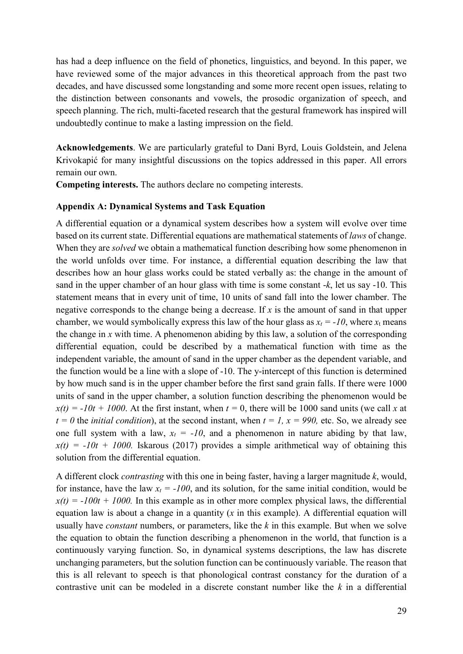has had a deep influence on the field of phonetics, linguistics, and beyond. In this paper, we have reviewed some of the major advances in this theoretical approach from the past two decades, and have discussed some longstanding and some more recent open issues, relating to the distinction between consonants and vowels, the prosodic organization of speech, and speech planning. The rich, multi-faceted research that the gestural framework has inspired will undoubtedly continue to make a lasting impression on the field.

**Acknowledgements**. We are particularly grateful to Dani Byrd, Louis Goldstein, and Jelena Krivokapić for many insightful discussions on the topics addressed in this paper. All errors remain our own.

**Competing interests.** The authors declare no competing interests.

#### **Appendix A: Dynamical Systems and Task Equation**

A differential equation or a dynamical system describes how a system will evolve over time based on its current state. Differential equations are mathematical statements of *laws* of change. When they are *solved* we obtain a mathematical function describing how some phenomenon in the world unfolds over time. For instance, a differential equation describing the law that describes how an hour glass works could be stated verbally as: the change in the amount of sand in the upper chamber of an hour glass with time is some constant -*k*, let us say -10. This statement means that in every unit of time, 10 units of sand fall into the lower chamber. The negative corresponds to the change being a decrease. If *x* is the amount of sand in that upper chamber, we would symbolically express this law of the hour glass as  $x_t = -10$ , where  $x_t$  means the change in *x* with time. A phenomenon abiding by this law, a solution of the corresponding differential equation, could be described by a mathematical function with time as the independent variable, the amount of sand in the upper chamber as the dependent variable, and the function would be a line with a slope of -10. The y-intercept of this function is determined by how much sand is in the upper chamber before the first sand grain falls. If there were 1000 units of sand in the upper chamber, a solution function describing the phenomenon would be  $x(t) = -10t + 1000$ . At the first instant, when  $t = 0$ , there will be 1000 sand units (we call *x* at  $t = 0$  the *initial condition*), at the second instant, when  $t = 1$ ,  $x = 990$ , etc. So, we already see one full system with a law,  $x_t = -10$ , and a phenomenon in nature abiding by that law,  $x(t) = -10t + 1000$ . Iskarous (2017) provides a simple arithmetical way of obtaining this solution from the differential equation.

A different clock *contrasting* with this one in being faster, having a larger magnitude *k*, would, for instance, have the law  $x_t = -100$ , and its solution, for the same initial condition, would be  $x(t) = -100t + 1000$ . In this example as in other more complex physical laws, the differential equation law is about a change in a quantity (*x* in this example). A differential equation will usually have *constant* numbers, or parameters, like the *k* in this example. But when we solve the equation to obtain the function describing a phenomenon in the world, that function is a continuously varying function. So, in dynamical systems descriptions, the law has discrete unchanging parameters, but the solution function can be continuously variable. The reason that this is all relevant to speech is that phonological contrast constancy for the duration of a contrastive unit can be modeled in a discrete constant number like the *k* in a differential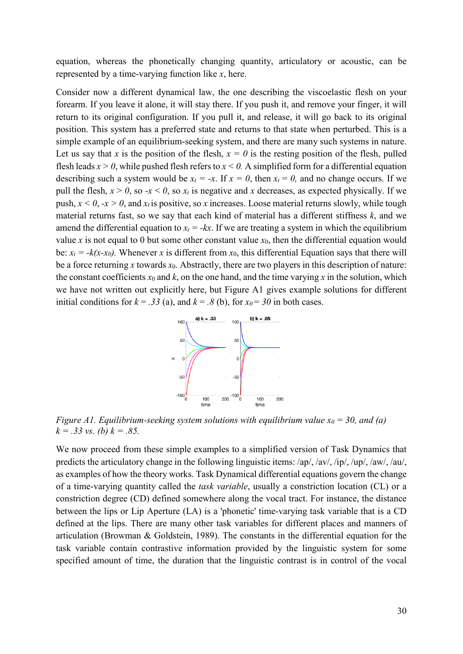equation, whereas the phonetically changing quantity, articulatory or acoustic, can be represented by a time-varying function like *x*, here.

Consider now a different dynamical law, the one describing the viscoelastic flesh on your forearm. If you leave it alone, it will stay there. If you push it, and remove your finger, it will return to its original configuration. If you pull it, and release, it will go back to its original position. This system has a preferred state and returns to that state when perturbed. This is a simple example of an equilibrium-seeking system, and there are many such systems in nature. Let us say that *x* is the position of the flesh,  $x = 0$  is the resting position of the flesh, pulled flesh leads  $x > 0$ , while pushed flesh refers to  $x < 0$ . A simplified form for a differential equation describing such a system would be  $x_t = -x$ . If  $x = 0$ , then  $x_t = 0$ , and no change occurs. If we pull the flesh,  $x > 0$ , so  $-x < 0$ , so  $x_t$  is negative and x decreases, as expected physically. If we push,  $x < 0$ ,  $-x > 0$ , and  $x_t$  is positive, so *x* increases. Loose material returns slowly, while tough material returns fast, so we say that each kind of material has a different stiffness *k*, and we amend the differential equation to  $x_t = -kx$ . If we are treating a system in which the equilibrium value *x* is not equal to 0 but some other constant value  $x_0$ , then the differential equation would be:  $x_t = -k(x-x_0)$ . Whenever *x* is different from  $x_0$ , this differential Equation says that there will be a force returning *x* towards *x*0. Abstractly, there are two players in this description of nature: the constant coefficients  $x_0$  and  $k$ , on the one hand, and the time varying  $x$  in the solution, which we have not written out explicitly here, but Figure A1 gives example solutions for different initial conditions for  $k = .33$  (a), and  $k = .8$  (b), for  $x_0 = 30$  in both cases.



*Figure A1. Equilibrium-seeking system solutions with equilibrium value*  $x_0 = 30$ *, and (a) k = .33 vs. (b) k = .85.*

We now proceed from these simple examples to a simplified version of Task Dynamics that predicts the articulatory change in the following linguistic items: /ap/, /av/, /ip/, /up/, /aw/, /au/, as examples of how the theory works. Task Dynamical differential equations govern the change of a time-varying quantity called the *task variable*, usually a constriction location (CL) or a constriction degree (CD) defined somewhere along the vocal tract. For instance, the distance between the lips or Lip Aperture (LA) is a 'phonetic' time-varying task variable that is a CD defined at the lips. There are many other task variables for different places and manners of articulation (Browman & Goldstein, 1989). The constants in the differential equation for the task variable contain contrastive information provided by the linguistic system for some specified amount of time, the duration that the linguistic contrast is in control of the vocal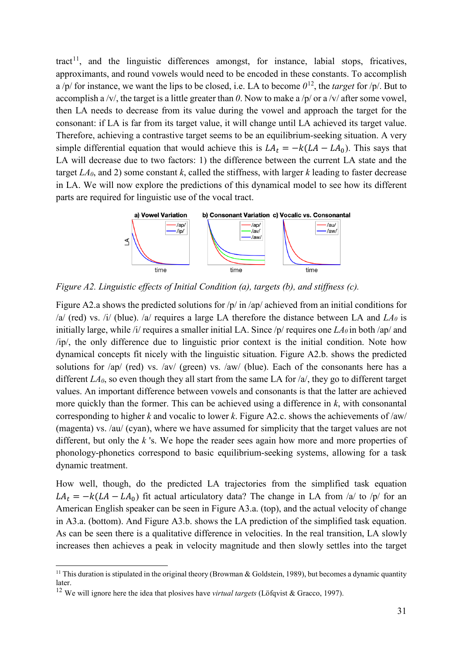tract<sup>[11](#page-31-0)</sup>, and the linguistic differences amongst, for instance, labial stops, fricatives, approximants, and round vowels would need to be encoded in these constants. To accomplish a /p/ for instance, we want the lips to be closed, i.e. LA to become  $0^{12}$  $0^{12}$  $0^{12}$ , the *target* for /p/. But to accomplish a /v/, the target is a little greater than *0*. Now to make a /p/ or a /v/ after some vowel, then LA needs to decrease from its value during the vowel and approach the target for the consonant: if LA is far from its target value, it will change until LA achieved its target value. Therefore, achieving a contrastive target seems to be an equilibrium-seeking situation. A very simple differential equation that would achieve this is  $LA_t = -k(LA - LA_0)$ . This says that LA will decrease due to two factors: 1) the difference between the current LA state and the target *LA0*, and 2) some constant *k*, called the stiffness, with larger *k* leading to faster decrease in LA. We will now explore the predictions of this dynamical model to see how its different parts are required for linguistic use of the vocal tract.



*Figure A2. Linguistic effects of Initial Condition (a), targets (b), and stiffness (c).*

Figure A2.a shows the predicted solutions for /p/ in /ap/ achieved from an initial conditions for /a/ (red) vs. /i/ (blue). /a/ requires a large LA therefore the distance between LA and  $LA<sub>0</sub>$  is initially large, while *ii* requires a smaller initial LA. Since  $/p$  requires one  $LA<sub>0</sub>$  in both /ap/ and /ip/, the only difference due to linguistic prior context is the initial condition. Note how dynamical concepts fit nicely with the linguistic situation. Figure A2.b. shows the predicted solutions for /ap/ (red) vs. /av/ (green) vs. /aw/ (blue). Each of the consonants here has a different *LA<sub>0</sub>*, so even though they all start from the same LA for /a/, they go to different target values. An important difference between vowels and consonants is that the latter are achieved more quickly than the former. This can be achieved using a difference in *k*, with consonantal corresponding to higher *k* and vocalic to lower *k*. Figure A2.c. shows the achievements of /aw/ (magenta) vs. /au/ (cyan), where we have assumed for simplicity that the target values are not different, but only the *k* 's. We hope the reader sees again how more and more properties of phonology-phonetics correspond to basic equilibrium-seeking systems, allowing for a task dynamic treatment.

How well, though, do the predicted LA trajectories from the simplified task equation  $LA_t = -k (LA - LA_0)$  fit actual articulatory data? The change in LA from /a/ to /p/ for an American English speaker can be seen in Figure A3.a. (top), and the actual velocity of change in A3.a. (bottom). And Figure A3.b. shows the LA prediction of the simplified task equation. As can be seen there is a qualitative difference in velocities. In the real transition, LA slowly increases then achieves a peak in velocity magnitude and then slowly settles into the target

-

<span id="page-31-0"></span><sup>&</sup>lt;sup>11</sup> This duration is stipulated in the original theory (Browman & Goldstein, 1989), but becomes a dynamic quantity later.

<span id="page-31-1"></span><sup>12</sup> We will ignore here the idea that plosives have *virtual targets* (Löfqvist & Gracco, 1997).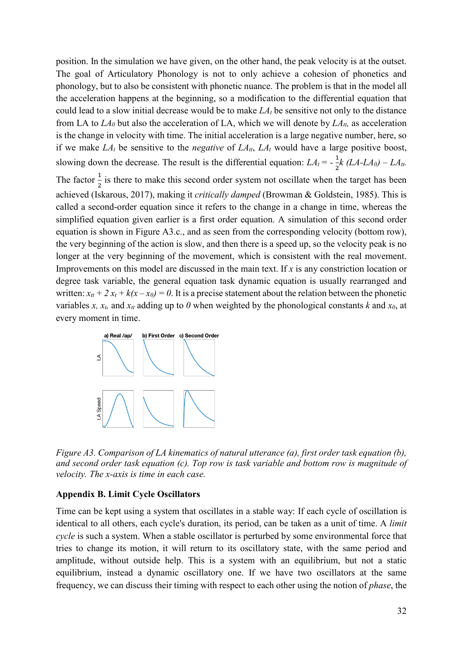position. In the simulation we have given, on the other hand, the peak velocity is at the outset. The goal of Articulatory Phonology is not to only achieve a cohesion of phonetics and phonology, but to also be consistent with phonetic nuance. The problem is that in the model all the acceleration happens at the beginning, so a modification to the differential equation that could lead to a slow initial decrease would be to make  $LA<sub>t</sub>$  be sensitive not only to the distance from LA to  $LA_0$  but also the acceleration of LA, which we will denote by  $LA_{tt}$ , as acceleration is the change in velocity with time. The initial acceleration is a large negative number, here, so if we make  $LA_t$  be sensitive to the *negative* of  $LA_{tt}$ ,  $LA_t$  would have a large positive boost, slowing down the decrease. The result is the differential equation:  $LA_t = -\frac{1}{2}k (LA-LA_0) - LA_{tt}$ .

The factor  $\frac{1}{2}$  is there to make this second order system not oscillate when the target has been achieved (Iskarous, 2017), making it *critically damped* (Browman & Goldstein, 1985). This is called a second-order equation since it refers to the change in a change in time, whereas the simplified equation given earlier is a first order equation. A simulation of this second order equation is shown in Figure A3.c., and as seen from the corresponding velocity (bottom row), the very beginning of the action is slow, and then there is a speed up, so the velocity peak is no longer at the very beginning of the movement, which is consistent with the real movement. Improvements on this model are discussed in the main text. If *x* is any constriction location or degree task variable, the general equation task dynamic equation is usually rearranged and written:  $x_{tt} + 2x_t + k(x - x_0) = 0$ . It is a precise statement about the relation between the phonetic variables *x*,  $x_t$ , and  $x_t$  adding up to *0* when weighted by the phonological constants *k* and  $x_0$ , at every moment in time.



*Figure A3. Comparison of LA kinematics of natural utterance (a), first order task equation (b), and second order task equation (c). Top row is task variable and bottom row is magnitude of velocity. The x-axis is time in each case.*

### **Appendix B. Limit Cycle Oscillators**

Time can be kept using a system that oscillates in a stable way: If each cycle of oscillation is identical to all others, each cycle's duration, its period, can be taken as a unit of time. A *limit cycle* is such a system. When a stable oscillator is perturbed by some environmental force that tries to change its motion, it will return to its oscillatory state, with the same period and amplitude, without outside help. This is a system with an equilibrium, but not a static equilibrium, instead a dynamic oscillatory one. If we have two oscillators at the same frequency, we can discuss their timing with respect to each other using the notion of *phase*, the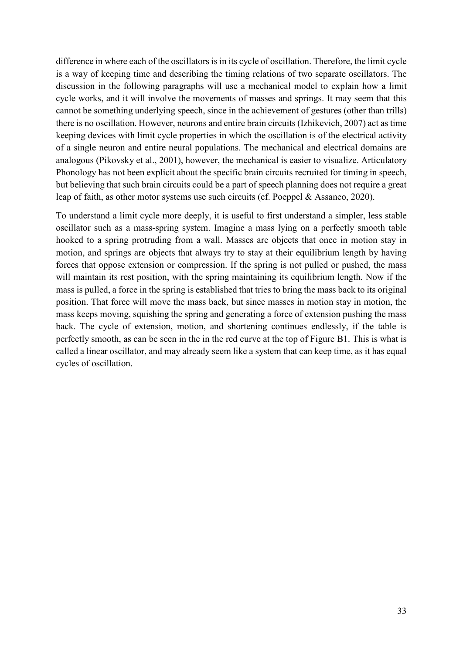difference in where each of the oscillators is in its cycle of oscillation. Therefore, the limit cycle is a way of keeping time and describing the timing relations of two separate oscillators. The discussion in the following paragraphs will use a mechanical model to explain how a limit cycle works, and it will involve the movements of masses and springs. It may seem that this cannot be something underlying speech, since in the achievement of gestures (other than trills) there is no oscillation. However, neurons and entire brain circuits (Izhikevich, 2007) act as time keeping devices with limit cycle properties in which the oscillation is of the electrical activity of a single neuron and entire neural populations. The mechanical and electrical domains are analogous (Pikovsky et al., 2001), however, the mechanical is easier to visualize. Articulatory Phonology has not been explicit about the specific brain circuits recruited for timing in speech, but believing that such brain circuits could be a part of speech planning does not require a great leap of faith, as other motor systems use such circuits (cf. Poeppel & Assaneo, 2020).

To understand a limit cycle more deeply, it is useful to first understand a simpler, less stable oscillator such as a mass-spring system. Imagine a mass lying on a perfectly smooth table hooked to a spring protruding from a wall. Masses are objects that once in motion stay in motion, and springs are objects that always try to stay at their equilibrium length by having forces that oppose extension or compression. If the spring is not pulled or pushed, the mass will maintain its rest position, with the spring maintaining its equilibrium length. Now if the mass is pulled, a force in the spring is established that tries to bring the mass back to its original position. That force will move the mass back, but since masses in motion stay in motion, the mass keeps moving, squishing the spring and generating a force of extension pushing the mass back. The cycle of extension, motion, and shortening continues endlessly, if the table is perfectly smooth, as can be seen in the in the red curve at the top of Figure B1. This is what is called a linear oscillator, and may already seem like a system that can keep time, as it has equal cycles of oscillation.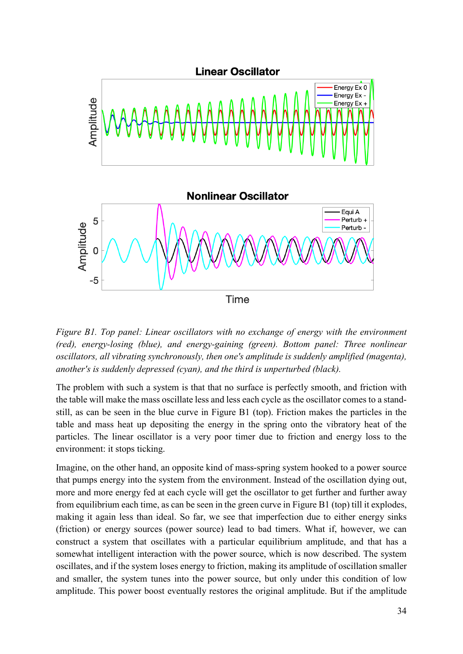

*Figure B1. Top panel: Linear oscillators with no exchange of energy with the environment (red), energy-losing (blue), and energy-gaining (green). Bottom panel: Three nonlinear oscillators, all vibrating synchronously, then one's amplitude is suddenly amplified (magenta), another's is suddenly depressed (cyan), and the third is unperturbed (black).*

The problem with such a system is that that no surface is perfectly smooth, and friction with the table will make the mass oscillate less and less each cycle as the oscillator comes to a standstill, as can be seen in the blue curve in Figure B1 (top). Friction makes the particles in the table and mass heat up depositing the energy in the spring onto the vibratory heat of the particles. The linear oscillator is a very poor timer due to friction and energy loss to the environment: it stops ticking.

Imagine, on the other hand, an opposite kind of mass-spring system hooked to a power source that pumps energy into the system from the environment. Instead of the oscillation dying out, more and more energy fed at each cycle will get the oscillator to get further and further away from equilibrium each time, as can be seen in the green curve in Figure B1 (top) till it explodes, making it again less than ideal. So far, we see that imperfection due to either energy sinks (friction) or energy sources (power source) lead to bad timers. What if, however, we can construct a system that oscillates with a particular equilibrium amplitude, and that has a somewhat intelligent interaction with the power source, which is now described. The system oscillates, and if the system loses energy to friction, making its amplitude of oscillation smaller and smaller, the system tunes into the power source, but only under this condition of low amplitude. This power boost eventually restores the original amplitude. But if the amplitude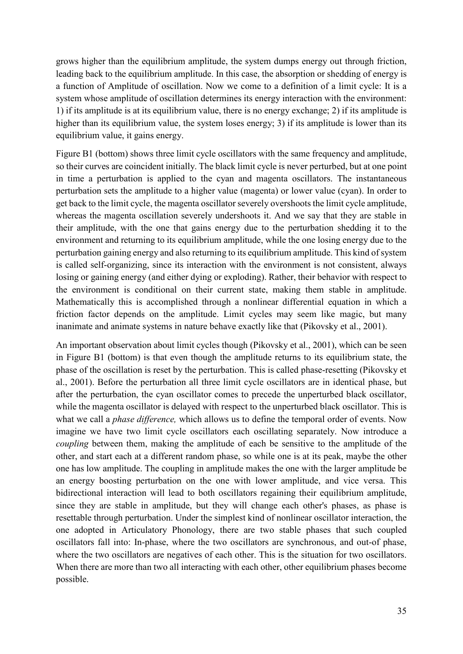grows higher than the equilibrium amplitude, the system dumps energy out through friction, leading back to the equilibrium amplitude. In this case, the absorption or shedding of energy is a function of Amplitude of oscillation. Now we come to a definition of a limit cycle: It is a system whose amplitude of oscillation determines its energy interaction with the environment: 1) if its amplitude is at its equilibrium value, there is no energy exchange; 2) if its amplitude is higher than its equilibrium value, the system loses energy; 3) if its amplitude is lower than its equilibrium value, it gains energy.

Figure B1 (bottom) shows three limit cycle oscillators with the same frequency and amplitude, so their curves are coincident initially. The black limit cycle is never perturbed, but at one point in time a perturbation is applied to the cyan and magenta oscillators. The instantaneous perturbation sets the amplitude to a higher value (magenta) or lower value (cyan). In order to get back to the limit cycle, the magenta oscillator severely overshoots the limit cycle amplitude, whereas the magenta oscillation severely undershoots it. And we say that they are stable in their amplitude, with the one that gains energy due to the perturbation shedding it to the environment and returning to its equilibrium amplitude, while the one losing energy due to the perturbation gaining energy and also returning to its equilibrium amplitude. This kind of system is called self-organizing, since its interaction with the environment is not consistent, always losing or gaining energy (and either dying or exploding). Rather, their behavior with respect to the environment is conditional on their current state, making them stable in amplitude. Mathematically this is accomplished through a nonlinear differential equation in which a friction factor depends on the amplitude. Limit cycles may seem like magic, but many inanimate and animate systems in nature behave exactly like that (Pikovsky et al., 2001).

An important observation about limit cycles though (Pikovsky et al., 2001), which can be seen in Figure B1 (bottom) is that even though the amplitude returns to its equilibrium state, the phase of the oscillation is reset by the perturbation. This is called phase-resetting (Pikovsky et al., 2001). Before the perturbation all three limit cycle oscillators are in identical phase, but after the perturbation, the cyan oscillator comes to precede the unperturbed black oscillator, while the magenta oscillator is delayed with respect to the unperturbed black oscillator. This is what we call a *phase difference,* which allows us to define the temporal order of events. Now imagine we have two limit cycle oscillators each oscillating separately. Now introduce a *coupling* between them, making the amplitude of each be sensitive to the amplitude of the other, and start each at a different random phase, so while one is at its peak, maybe the other one has low amplitude. The coupling in amplitude makes the one with the larger amplitude be an energy boosting perturbation on the one with lower amplitude, and vice versa. This bidirectional interaction will lead to both oscillators regaining their equilibrium amplitude, since they are stable in amplitude, but they will change each other's phases, as phase is resettable through perturbation. Under the simplest kind of nonlinear oscillator interaction, the one adopted in Articulatory Phonology, there are two stable phases that such coupled oscillators fall into: In-phase, where the two oscillators are synchronous, and out-of phase, where the two oscillators are negatives of each other. This is the situation for two oscillators. When there are more than two all interacting with each other, other equilibrium phases become possible.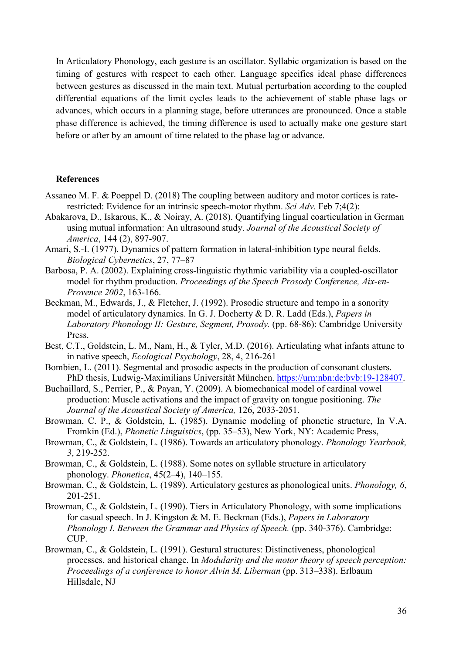In Articulatory Phonology, each gesture is an oscillator. Syllabic organization is based on the timing of gestures with respect to each other. Language specifies ideal phase differences between gestures as discussed in the main text. Mutual perturbation according to the coupled differential equations of the limit cycles leads to the achievement of stable phase lags or advances, which occurs in a planning stage, before utterances are pronounced. Once a stable phase difference is achieved, the timing difference is used to actually make one gesture start before or after by an amount of time related to the phase lag or advance.

#### **References**

- Assaneo M. F. & Poeppel D. (2018) The coupling between auditory and motor cortices is raterestricted: Evidence for an intrinsic speech-motor rhythm. *Sci Adv*. Feb 7;4(2):
- Abakarova, D., Iskarous, K., & Noiray, A. (2018). Quantifying lingual coarticulation in German using mutual information: An ultrasound study. *Journal of the Acoustical Society of America*, 144 (2), 897-907.
- Amari, S.-I. (1977). Dynamics of pattern formation in lateral-inhibition type neural fields. *Biological Cybernetics*, 27, 77–87
- Barbosa, P. A. (2002). Explaining cross-linguistic rhythmic variability via a coupled-oscillator model for rhythm production. *Proceedings of the Speech Prosody Conference, Aix-en-Provence 2002*, 163-166.
- Beckman, M., Edwards, J., & Fletcher, J. (1992). Prosodic structure and tempo in a sonority model of articulatory dynamics. In G. J. Docherty & D. R. Ladd (Eds.), *Papers in Laboratory Phonology II: Gesture, Segment, Prosody.* (pp. 68-86): Cambridge University Press.
- Best, C.T., Goldstein, L. M., Nam, H., & Tyler, M.D. (2016). Articulating what infants attune to in native speech, *Ecological Psychology*, 28, 4, 216-261
- Bombien, L. (2011). Segmental and prosodic aspects in the production of consonant clusters. PhD thesis, Ludwig-Maximilians Universität München. [https://urn:nbn:de:bvb:19-128407.](https://urn:nbn:de:bvb:19-128407)
- Buchaillard, S., Perrier, P., & Payan, Y. (2009). A biomechanical model of cardinal vowel production: Muscle activations and the impact of gravity on tongue positioning. *The Journal of the Acoustical Society of America,* 126, 2033-2051.
- Browman, C. P., & Goldstein, L. (1985). Dynamic modeling of phonetic structure, In V.A. Fromkin (Ed.), *Phonetic Linguistics*, (pp. 35–53), New York, NY: Academic Press,
- Browman, C., & Goldstein, L. (1986). Towards an articulatory phonology. *Phonology Yearbook, 3*, 219-252.
- Browman, C., & Goldstein, L. (1988). Some notes on syllable structure in articulatory phonology. *Phonetica*, 45(2–4), 140–155.
- Browman, C., & Goldstein, L. (1989). Articulatory gestures as phonological units. *Phonology, 6*, 201-251.
- Browman, C., & Goldstein, L. (1990). Tiers in Articulatory Phonology, with some implications for casual speech. In J. Kingston & M. E. Beckman (Eds.), *Papers in Laboratory Phonology I. Between the Grammar and Physics of Speech.* (pp. 340-376). Cambridge: CUP.
- Browman, C., & Goldstein, L. (1991). Gestural structures: Distinctiveness, phonological processes, and historical change. In *Modularity and the motor theory of speech perception: Proceedings of a conference to honor Alvin M. Liberman* (pp. 313–338). Erlbaum Hillsdale, NJ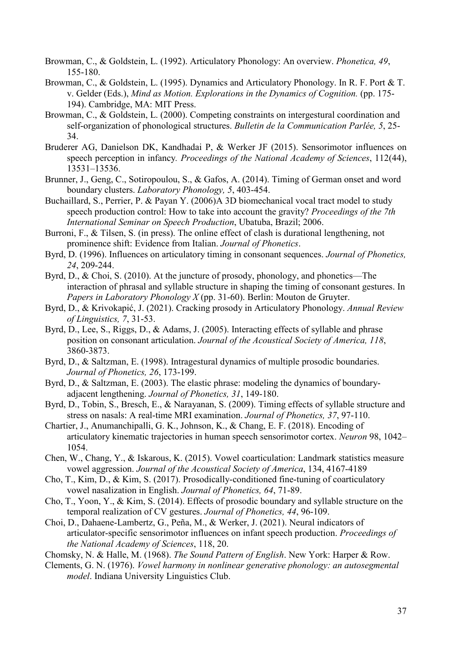- Browman, C., & Goldstein, L. (1992). Articulatory Phonology: An overview. *Phonetica, 49*, 155-180.
- Browman, C., & Goldstein, L. (1995). Dynamics and Articulatory Phonology. In R. F. Port & T. v. Gelder (Eds.), *Mind as Motion. Explorations in the Dynamics of Cognition.* (pp. 175- 194). Cambridge, MA: MIT Press.
- Browman, C., & Goldstein, L. (2000). Competing constraints on intergestural coordination and self-organization of phonological structures. *Bulletin de la Communication Parlée, 5*, 25- 34.
- Bruderer AG, Danielson DK, Kandhadai P, & Werker JF (2015). Sensorimotor influences on speech perception in infancy*. Proceedings of the National Academy of Sciences*, 112(44), 13531–13536.
- Brunner, J., Geng, C., Sotiropoulou, S., & Gafos, A. (2014). Timing of German onset and word boundary clusters. *Laboratory Phonology, 5*, 403-454.
- Buchaillard, S., Perrier, P. & Payan Y. (2006)A 3D biomechanical vocal tract model to study speech production control: How to take into account the gravity? *Proceedings of the 7th International Seminar on Speech Production*, Ubatuba, Brazil; 2006.
- Burroni, F., & Tilsen, S. (in press). The online effect of clash is durational lengthening, not prominence shift: Evidence from Italian. *Journal of Phonetics*.
- Byrd, D. (1996). Influences on articulatory timing in consonant sequences. *Journal of Phonetics, 24*, 209-244.
- Byrd, D., & Choi, S. (2010). At the juncture of prosody, phonology, and phonetics—The interaction of phrasal and syllable structure in shaping the timing of consonant gestures. In *Papers in Laboratory Phonology X* (pp. 31-60). Berlin: Mouton de Gruyter.
- Byrd, D., & Krivokapić, J. (2021). Cracking prosody in Articulatory Phonology. *Annual Review of Linguistics, 7*, 31-53.
- Byrd, D., Lee, S., Riggs, D., & Adams, J. (2005). Interacting effects of syllable and phrase position on consonant articulation. *Journal of the Acoustical Society of America, 118*, 3860-3873.
- Byrd, D., & Saltzman, E. (1998). Intragestural dynamics of multiple prosodic boundaries. *Journal of Phonetics, 26*, 173-199.
- Byrd, D., & Saltzman, E. (2003). The elastic phrase: modeling the dynamics of boundaryadjacent lengthening. *Journal of Phonetics, 31*, 149-180.
- Byrd, D., Tobin, S., Bresch, E., & Narayanan, S. (2009). Timing effects of syllable structure and stress on nasals: A real-time MRI examination. *Journal of Phonetics, 37*, 97-110.
- Chartier, J., Anumanchipalli, G. K., Johnson, K., & Chang, E. F. (2018). Encoding of articulatory kinematic trajectories in human speech sensorimotor cortex. *Neuron* 98, 1042– 1054.
- Chen, W., Chang, Y., & Iskarous, K. (2015). Vowel coarticulation: Landmark statistics measure vowel aggression. *Journal of the Acoustical Society of America*, 134, 4167-4189
- Cho, T., Kim, D., & Kim, S. (2017). Prosodically-conditioned fine-tuning of coarticulatory vowel nasalization in English. *Journal of Phonetics, 64*, 71-89.
- Cho, T., Yoon, Y., & Kim, S. (2014). Effects of prosodic boundary and syllable structure on the temporal realization of CV gestures. *Journal of Phonetics, 44*, 96-109.
- Choi, D., Dahaene-Lambertz, G., Peña, M., & Werker, J. (2021). Neural indicators of articulator-specific sensorimotor influences on infant speech production. *Proceedings of the National Academy of Sciences*, 118, 20.

Chomsky, N. & Halle, M. (1968). *The Sound Pattern of English*. New York: Harper & Row.

Clements, G. N. (1976). *Vowel harmony in nonlinear generative phonology: an autosegmental model*. Indiana University Linguistics Club.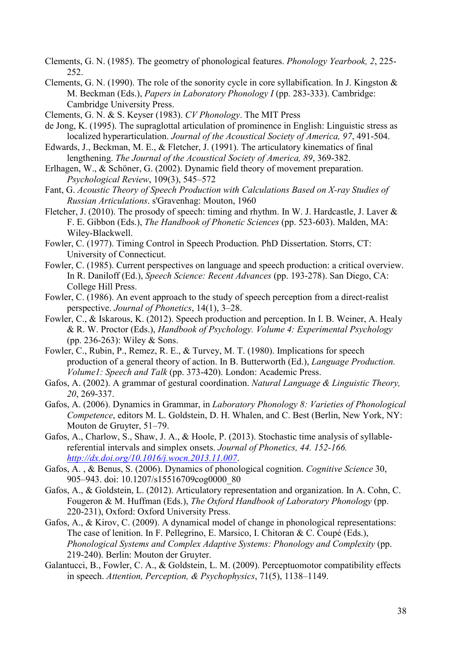Clements, G. N. (1985). The geometry of phonological features. *Phonology Yearbook, 2*, 225- 252.

- Clements, G. N. (1990). The role of the sonority cycle in core syllabification. In J. Kingston & M. Beckman (Eds.), *Papers in Laboratory Phonology I* (pp. 283-333). Cambridge: Cambridge University Press.
- Clements, G. N. & S. Keyser (1983). *CV Phonology*. The MIT Press
- de Jong, K. (1995). The supraglottal articulation of prominence in English: Linguistic stress as localized hyperarticulation. *Journal of the Acoustical Society of America, 97*, 491-504.
- Edwards, J., Beckman, M. E., & Fletcher, J. (1991). The articulatory kinematics of final lengthening. *The Journal of the Acoustical Society of America, 89*, 369-382.
- Erlhagen, W., & Schöner, G. (2002). Dynamic field theory of movement preparation. *Psychological Review*, 109(3), 545–572
- Fant, G. *Acoustic Theory of Speech Production with Calculations Based on X-ray Studies of Russian Articulations*. s'Gravenhag: Mouton, 1960
- Fletcher, J. (2010). The prosody of speech: timing and rhythm. In W. J. Hardcastle, J. Laver & F. E. Gibbon (Eds.), *The Handbook of Phonetic Sciences* (pp. 523-603). Malden, MA: Wiley-Blackwell.
- Fowler, C. (1977). Timing Control in Speech Production. PhD Dissertation. Storrs, CT: University of Connecticut.
- Fowler, C. (1985). Current perspectives on language and speech production: a critical overview. In R. Daniloff (Ed.), *Speech Science: Recent Advances* (pp. 193-278). San Diego, CA: College Hill Press.
- Fowler, C. (1986). An event approach to the study of speech perception from a direct-realist perspective. *Journal of Phonetics*, 14(1), 3–28.
- Fowler, C., & Iskarous, K. (2012). Speech production and perception. In I. B. Weiner, A. Healy & R. W. Proctor (Eds.), *Handbook of Psychology. Volume 4: Experimental Psychology* (pp. 236-263): Wiley & Sons.
- Fowler, C., Rubin, P., Remez, R. E., & Turvey, M. T. (1980). Implications for speech production of a general theory of action. In B. Butterworth (Ed.), *Language Production. Volume1: Speech and Talk* (pp. 373-420). London: Academic Press.
- Gafos, A. (2002). A grammar of gestural coordination. *Natural Language & Linguistic Theory, 20*, 269-337.
- Gafos, A. (2006). Dynamics in Grammar, in *Laboratory Phonology 8: Varieties of Phonological Competence*, editors M. L. Goldstein, D. H. Whalen, and C. Best (Berlin, New York, NY: Mouton de Gruyter, 51–79.
- Gafos, A., Charlow, S., Shaw, J. A., & Hoole, P. (2013). Stochastic time analysis of syllablereferential intervals and simplex onsets. *Journal of Phonetics, 44. 152-166. <http://dx.doi.org/10.1016/j.wocn.2013.11.007>*.
- Gafos, A. , & Benus, S. (2006). Dynamics of phonological cognition. *Cognitive Science* 30, 905–943. doi: 10.1207/s15516709cog0000\_80
- Gafos, A., & Goldstein, L. (2012). Articulatory representation and organization. In A. Cohn, C. Fougeron & M. Huffman (Eds.), *The Oxford Handbook of Laboratory Phonology* (pp. 220-231), Oxford: Oxford University Press.
- Gafos, A., & Kirov, C. (2009). A dynamical model of change in phonological representations: The case of lenition. In F. Pellegrino, E. Marsico, I. Chitoran & C. Coupé (Eds.), *Phonological Systems and Complex Adaptive Systems: Phonology and Complexity* (pp. 219-240). Berlin: Mouton der Gruyter.
- Galantucci, B., Fowler, C. A., & Goldstein, L. M. (2009). Perceptuomotor compatibility effects in speech. *Attention, Perception, & Psychophysics*, 71(5), 1138–1149.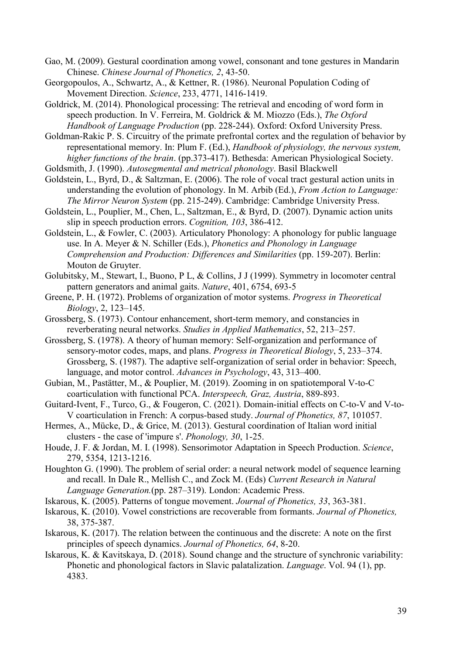- Gao, M. (2009). Gestural coordination among vowel, consonant and tone gestures in Mandarin Chinese. *Chinese Journal of Phonetics, 2*, 43-50.
- Georgopoulos, A., Schwartz, A., & Kettner, R. (1986). Neuronal Population Coding of Movement Direction. *Science*, 233, 4771, 1416-1419.
- Goldrick, M. (2014). Phonological processing: The retrieval and encoding of word form in speech production. In V. Ferreira, M. Goldrick & M. Miozzo (Eds.), *The Oxford Handbook of Language Production* (pp. 228-244). Oxford: Oxford University Press.

Goldman-Rakic P. S. Circuitry of the primate prefrontal cortex and the regulation of behavior by representational memory. In: Plum F. (Ed.), *Handbook of physiology, the nervous system, higher functions of the brain*. (pp.373-417). Bethesda: American Physiological Society.

- Goldsmith, J. (1990). *Autosegmental and metrical phonology*. Basil Blackwell
- Goldstein, L., Byrd, D., & Saltzman, E. (2006). The role of vocal tract gestural action units in understanding the evolution of phonology. In M. Arbib (Ed.), *From Action to Language: The Mirror Neuron System* (pp. 215-249). Cambridge: Cambridge University Press.
- Goldstein, L., Pouplier, M., Chen, L., Saltzman, E., & Byrd, D. (2007). Dynamic action units slip in speech production errors. *Cognition, 103*, 386-412.
- Goldstein, L., & Fowler, C. (2003). Articulatory Phonology: A phonology for public language use. In A. Meyer & N. Schiller (Eds.), *Phonetics and Phonology in Language Comprehension and Production: Differences and Similarities* (pp. 159-207). Berlin: Mouton de Gruyter.
- Golubitsky, M., Stewart, I., Buono, P L, & Collins, J J (1999). Symmetry in locomoter central pattern generators and animal gaits. *Nature*, 401, 6754, 693-5
- Greene, P. H. (1972). Problems of organization of motor systems. *Progress in Theoretical Biology*, 2, 123–145.
- Grossberg, S. (1973). Contour enhancement, short-term memory, and constancies in reverberating neural networks. *Studies in Applied Mathematics*, 52, 213–257.
- Grossberg, S. (1978). A theory of human memory: Self-organization and performance of sensory-motor codes, maps, and plans. *Progress in Theoretical Biology*, 5, 233–374. Grossberg, S. (1987). The adaptive self-organization of serial order in behavior: Speech, language, and motor control. *Advances in Psychology*, 43, 313–400.
- Gubian, M., Pastätter, M., & Pouplier, M. (2019). Zooming in on spatiotemporal V-to-C coarticulation with functional PCA. *Interspeech, Graz, Austria*, 889-893.
- Guitard-Ivent, F., Turco, G., & Fougeron, C. (2021). Domain-initial effects on C-to-V and V-to-V coarticulation in French: A corpus-based study. *Journal of Phonetics, 87*, 101057.
- Hermes, A., Mücke, D., & Grice, M. (2013). Gestural coordination of Italian word initial clusters - the case of 'impure s'. *Phonology, 30*, 1-25.
- Houde, J. F. & Jordan, M. I. (1998). Sensorimotor Adaptation in Speech Production. *Science*, 279, 5354, 1213-1216.
- Houghton G. (1990). The problem of serial order: a neural network model of sequence learning and recall. In Dale R., Mellish C., and Zock M. (Eds) *Current Research in Natural Language Generation.*(pp. 287–319). London: Academic Press.
- Iskarous, K. (2005). Patterns of tongue movement. *Journal of Phonetics, 33*, 363-381.
- Iskarous, K. (2010). Vowel constrictions are recoverable from formants. *Journal of Phonetics,* 38, 375-387.
- Iskarous, K. (2017). The relation between the continuous and the discrete: A note on the first principles of speech dynamics. *Journal of Phonetics, 64*, 8-20.
- Iskarous, K. & Kavitskaya, D. (2018). Sound change and the structure of synchronic variability: Phonetic and phonological factors in Slavic palatalization. *Language*. Vol. 94 (1), pp. 4383.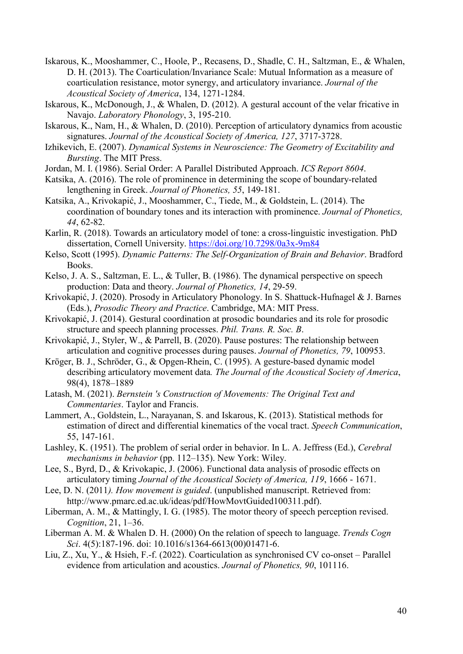- Iskarous, K., Mooshammer, C., Hoole, P., Recasens, D., Shadle, C. H., Saltzman, E., & Whalen, D. H. (2013). The Coarticulation/Invariance Scale: Mutual Information as a measure of coarticulation resistance, motor synergy, and articulatory invariance. *Journal of the Acoustical Society of America*, 134, 1271-1284.
- Iskarous, K., McDonough, J., & Whalen, D. (2012). A gestural account of the velar fricative in Navajo. *Laboratory Phonology*, 3, 195-210.
- Iskarous, K., Nam, H., & Whalen, D. (2010). Perception of articulatory dynamics from acoustic signatures. *Journal of the Acoustical Society of America, 127*, 3717-3728.
- Izhikevich, E. (2007). *Dynamical Systems in Neuroscience: The Geometry of Excitability and Bursting*. The MIT Press.
- Jordan, M. I. (1986). Serial Order: A Parallel Distributed Approach. *ICS Report 8604*.
- Katsika, A. (2016). The role of prominence in determining the scope of boundary-related lengthening in Greek. *Journal of Phonetics, 55*, 149-181.
- Katsika, A., Krivokapić, J., Mooshammer, C., Tiede, M., & Goldstein, L. (2014). The coordination of boundary tones and its interaction with prominence. *Journal of Phonetics, 44*, 62-82.
- Karlin, R. (2018). Towards an articulatory model of tone: a cross-linguistic investigation. PhD dissertation, Cornell University.<https://doi.org/10.7298/0a3x-9m84>
- Kelso, Scott (1995). *Dynamic Patterns: The Self-Organization of Brain and Behavior*. Bradford Books.
- Kelso, J. A. S., Saltzman, E. L., & Tuller, B. (1986). The dynamical perspective on speech production: Data and theory. *Journal of Phonetics, 14*, 29-59.
- Krivokapić, J. (2020). Prosody in Articulatory Phonology. In S. Shattuck-Hufnagel & J. Barnes (Eds.), *Prosodic Theory and Practice*. Cambridge, MA: MIT Press.
- Krivokapić, J. (2014). Gestural coordination at prosodic boundaries and its role for prosodic structure and speech planning processes. *Phil. Trans. R. Soc. B*.
- Krivokapić, J., Styler, W., & Parrell, B. (2020). Pause postures: The relationship between articulation and cognitive processes during pauses. *Journal of Phonetics, 79*, 100953.
- Kröger, B. J., Schröder, G., & Opgen-Rhein, C. (1995). A gesture-based dynamic model describing articulatory movement data*. The Journal of the Acoustical Society of America*, 98(4), 1878–1889
- Latash, M. (2021). *Bernstein 's Construction of Movements: The Original Text and Commentaries*. Taylor and Francis.
- Lammert, A., Goldstein, L., Narayanan, S. and Iskarous, K. (2013). Statistical methods for estimation of direct and differential kinematics of the vocal tract. *Speech Communication*, 55, 147-161.
- Lashley, K. (1951). The problem of serial order in behavior. In L. A. Jeffress (Ed.), *Cerebral mechanisms in behavior* (pp. 112–135). New York: Wiley.
- Lee, S., Byrd, D., & Krivokapic, J. (2006). Functional data analysis of prosodic effects on articulatory timing *Journal of the Acoustical Society of America, 119*, 1666 - 1671.
- Lee, D. N. (2011*). How movement is guided*. (unpublished manuscript. Retrieved from: http://www.pmarc.ed.ac.uk/ideas/pdf/HowMovtGuided100311.pdf).
- Liberman, A. M., & Mattingly, I. G. (1985). The motor theory of speech perception revised. *Cognition*, 21, 1–36.
- Liberman A. M. & Whalen D. H. (2000) On the relation of speech to language. *Trends Cogn Sci*. 4(5):187-196. doi: 10.1016/s1364-6613(00)01471-6.
- Liu, Z., Xu, Y., & Hsieh, F.-f. (2022). Coarticulation as synchronised CV co-onset Parallel evidence from articulation and acoustics. *Journal of Phonetics, 90*, 101116.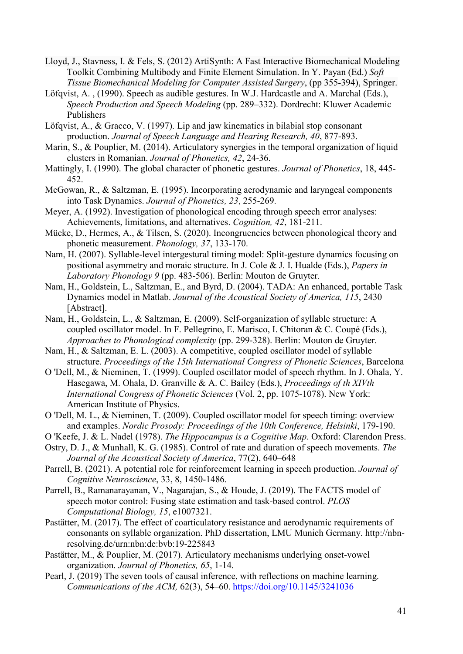- Lloyd, J., Stavness, I. & Fels, S. (2012) ArtiSynth: A Fast Interactive Biomechanical Modeling Toolkit Combining Multibody and Finite Element Simulation. In Y. Payan (Ed.) *Soft Tissue Biomechanical Modeling for Computer Assisted Surgery*, (pp 355-394), Springer.
- Löfqvist, A. , (1990). Speech as audible gestures. In W.J. Hardcastle and A. Marchal (Eds.), *Speech Production and Speech Modeling* (pp. 289–332). Dordrecht: Kluwer Academic Publishers
- Löfqvist, A., & Gracco, V. (1997). Lip and jaw kinematics in bilabial stop consonant production. *Journal of Speech Language and Hearing Research, 40*, 877-893.
- Marin, S., & Pouplier, M. (2014). Articulatory synergies in the temporal organization of liquid clusters in Romanian. *Journal of Phonetics, 42*, 24-36.
- Mattingly, I. (1990). The global character of phonetic gestures. *Journal of Phonetics*, 18, 445- 452.
- McGowan, R., & Saltzman, E. (1995). Incorporating aerodynamic and laryngeal components into Task Dynamics. *Journal of Phonetics, 23*, 255-269.
- Meyer, A. (1992). Investigation of phonological encoding through speech error analyses: Achievements, limitations, and alternatives. *Cognition, 42*, 181-211.
- Mücke, D., Hermes, A., & Tilsen, S. (2020). Incongruencies between phonological theory and phonetic measurement. *Phonology, 37*, 133-170.
- Nam, H. (2007). Syllable-level intergestural timing model: Split-gesture dynamics focusing on positional asymmetry and moraic structure. In J. Cole & J. I. Hualde (Eds.), *Papers in Laboratory Phonology 9* (pp. 483-506). Berlin: Mouton de Gruyter.
- Nam, H., Goldstein, L., Saltzman, E., and Byrd, D. (2004). TADA: An enhanced, portable Task Dynamics model in Matlab. *Journal of the Acoustical Society of America, 115*, 2430 [Abstract].
- Nam, H., Goldstein, L., & Saltzman, E. (2009). Self-organization of syllable structure: A coupled oscillator model. In F. Pellegrino, E. Marisco, I. Chitoran & C. Coupé (Eds.), *Approaches to Phonological complexity* (pp. 299-328). Berlin: Mouton de Gruyter.
- Nam, H., & Saltzman, E. L. (2003). A competitive, coupled oscillator model of syllable structure. *Proceedings of the 15th International Congress of Phonetic Sciences*, Barcelona
- O 'Dell, M., & Nieminen, T. (1999). Coupled oscillator model of speech rhythm. In J. Ohala, Y. Hasegawa, M. Ohala, D. Granville & A. C. Bailey (Eds.), *Proceedings of th XIVth International Congress of Phonetic Sciences* (Vol. 2, pp. 1075-1078). New York: American Institute of Physics.
- O 'Dell, M. L., & Nieminen, T. (2009). Coupled oscillator model for speech timing: overview and examples. *Nordic Prosody: Proceedings of the 10th Conference, Helsinki*, 179-190.
- O 'Keefe, J. & L. Nadel (1978). *The Hippocampus is a Cognitive Map*. Oxford: Clarendon Press.
- Ostry, D. J., & Munhall, K. G. (1985). Control of rate and duration of speech movements. *The Journal of the Acoustical Society of America*, 77(2), 640–648
- Parrell, B. (2021). A potential role for reinforcement learning in speech production. *Journal of Cognitive Neuroscience*, 33, 8, 1450-1486.
- Parrell, B., Ramanarayanan, V., Nagarajan, S., & Houde, J. (2019). The FACTS model of speech motor control: Fusing state estimation and task-based control. *PLOS Computational Biology, 15*, e1007321.
- Pastätter, M. (2017). The effect of coarticulatory resistance and aerodynamic requirements of consonants on syllable organization. PhD dissertation, LMU Munich Germany. http://nbnresolving.de/urn:nbn:de:bvb:19-225843
- Pastätter, M., & Pouplier, M. (2017). Articulatory mechanisms underlying onset-vowel organization. *Journal of Phonetics, 65*, 1-14.
- Pearl, J. (2019) The seven tools of causal inference, with reflections on machine learning. *Communications of the ACM,* 62(3), 54–60.<https://doi.org/10.1145/3241036>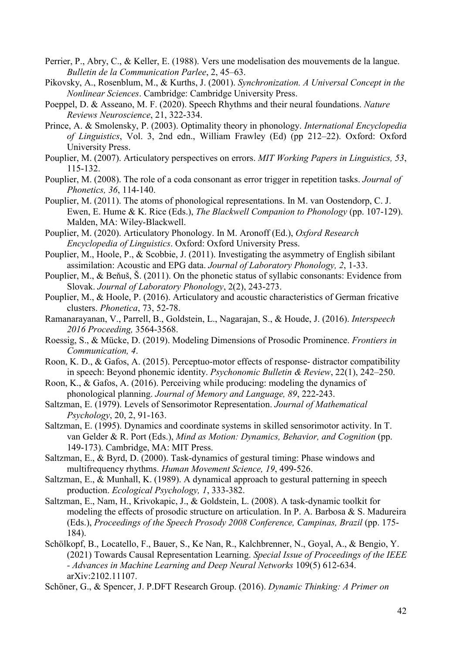- Perrier, P., Abry, C., & Keller, E. (1988). Vers une modelisation des mouvements de la langue. *Bulletin de la Communication Parlee*, 2, 45–63.
- Pikovsky, A., Rosenblum, M., & Kurths, J. (2001). *Synchronization. A Universal Concept in the Nonlinear Sciences*. Cambridge: Cambridge University Press.
- Poeppel, D. & Asseano, M. F. (2020). Speech Rhythms and their neural foundations. *Nature Reviews Neuroscience*, 21, 322-334.
- Prince, A. & Smolensky, P. (2003). Optimality theory in phonology. *International Encyclopedia of Linguistics*, Vol. 3, 2nd edn., William Frawley (Ed) (pp 212–22). Oxford: Oxford University Press.
- Pouplier, M. (2007). Articulatory perspectives on errors. *MIT Working Papers in Linguistics, 53*, 115-132.
- Pouplier, M. (2008). The role of a coda consonant as error trigger in repetition tasks. *Journal of Phonetics, 36*, 114-140.
- Pouplier, M. (2011). The atoms of phonological representations. In M. van Oostendorp, C. J. Ewen, E. Hume & K. Rice (Eds.), *The Blackwell Companion to Phonology* (pp. 107-129). Malden, MA: Wiley-Blackwell.
- Pouplier, M. (2020). Articulatory Phonology. In M. Aronoff (Ed.), *Oxford Research Encyclopedia of Linguistics*. Oxford: Oxford University Press.
- Pouplier, M., Hoole, P., & Scobbie, J. (2011). Investigating the asymmetry of English sibilant assimilation: Acoustic and EPG data. *Journal of Laboratory Phonology, 2*, 1-33.
- Pouplier, M., & Beňuš, Š. (2011). On the phonetic status of syllabic consonants: Evidence from Slovak. *Journal of Laboratory Phonology*, 2(2), 243-273.
- Pouplier, M., & Hoole, P. (2016). Articulatory and acoustic characteristics of German fricative clusters. *Phonetica*, 73, 52-78.
- Ramanarayanan, V., Parrell, B., Goldstein, L., Nagarajan, S., & Houde, J. (2016). *Interspeech 2016 Proceeding,* 3564-3568.
- Roessig, S., & Mücke, D. (2019). Modeling Dimensions of Prosodic Prominence. *Frontiers in Communication, 4*.
- Roon, K. D., & Gafos, A. (2015). Perceptuo-motor effects of response- distractor compatibility in speech: Beyond phonemic identity. *Psychonomic Bulletin & Review*, 22(1), 242–250.
- Roon, K., & Gafos, A. (2016). Perceiving while producing: modeling the dynamics of phonological planning. *Journal of Memory and Language, 89*, 222-243.
- Saltzman, E. (1979). Levels of Sensorimotor Representation. *Journal of Mathematical Psychology*, 20, 2, 91-163.
- Saltzman, E. (1995). Dynamics and coordinate systems in skilled sensorimotor activity. In T. van Gelder & R. Port (Eds.), *Mind as Motion: Dynamics, Behavior, and Cognition* (pp. 149-173). Cambridge, MA: MIT Press.
- Saltzman, E., & Byrd, D. (2000). Task-dynamics of gestural timing: Phase windows and multifrequency rhythms. *Human Movement Science, 19*, 499-526.
- Saltzman, E., & Munhall, K. (1989). A dynamical approach to gestural patterning in speech production. *Ecological Psychology, 1*, 333-382.
- Saltzman, E., Nam, H., Krivokapic, J., & Goldstein, L. (2008). A task-dynamic toolkit for modeling the effects of prosodic structure on articulation. In P. A. Barbosa  $\&$  S. Madureira (Eds.), *Proceedings of the Speech Prosody 2008 Conference, Campinas, Brazil* (pp. 175- 184).
- Schölkopf, B., Locatello, F., Bauer, S., Ke Nan, R., Kalchbrenner, N., Goyal, A., & Bengio, Y. (2021) Towards Causal Representation Learning. *Special Issue of Proceedings of the IEEE - Advances in Machine Learning and Deep Neural Networks* 109(5) 612-634. arXiv:2102.11107.
- Schöner, G., & Spencer, J. P.DFT Research Group. (2016). *Dynamic Thinking: A Primer on*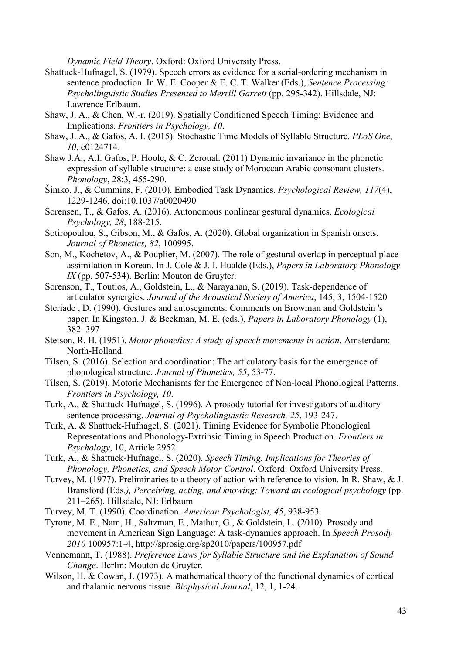*Dynamic Field Theory*. Oxford: Oxford University Press.

- Shattuck-Hufnagel, S. (1979). Speech errors as evidence for a serial-ordering mechanism in sentence production. In W. E. Cooper & E. C. T. Walker (Eds.), *Sentence Processing: Psycholinguistic Studies Presented to Merrill Garrett* (pp. 295-342). Hillsdale, NJ: Lawrence Erlbaum.
- Shaw, J. A., & Chen, W.-r. (2019). Spatially Conditioned Speech Timing: Evidence and Implications. *Frontiers in Psychology, 10*.
- Shaw, J. A., & Gafos, A. I. (2015). Stochastic Time Models of Syllable Structure. *PLoS One, 10*, e0124714.
- Shaw J.A., A.I. Gafos, P. Hoole, & C. Zeroual. (2011) Dynamic invariance in the phonetic expression of syllable structure: a case study of Moroccan Arabic consonant clusters. *Phonology*, 28:3, 455-290.
- Šimko, J., & Cummins, F. (2010). Embodied Task Dynamics. *Psychological Review, 117*(4), 1229-1246. doi:10.1037/a0020490
- Sorensen, T., & Gafos, A. (2016). Autonomous nonlinear gestural dynamics. *Ecological Psychology, 28*, 188-215.
- Sotiropoulou, S., Gibson, M., & Gafos, A. (2020). Global organization in Spanish onsets. *Journal of Phonetics, 82*, 100995.
- Son, M., Kochetov, A., & Pouplier, M. (2007). The role of gestural overlap in perceptual place assimilation in Korean. In J. Cole & J. I. Hualde (Eds.), *Papers in Laboratory Phonology IX* (pp. 507-534). Berlin: Mouton de Gruyter.
- Sorenson, T., Toutios, A., Goldstein, L., & Narayanan, S. (2019). Task-dependence of articulator synergies. *Journal of the Acoustical Society of America*, 145, 3, 1504-1520
- Steriade , D. (1990). Gestures and autosegments: Comments on Browman and Goldstein 's paper. In Kingston, J. & Beckman, M. E. (eds.), *Papers in Laboratory Phonology* (1), 382–397
- Stetson, R. H. (1951). *Motor phonetics: A study of speech movements in action*. Amsterdam: North-Holland.
- Tilsen, S. (2016). Selection and coordination: The articulatory basis for the emergence of phonological structure. *Journal of Phonetics, 55*, 53-77.
- Tilsen, S. (2019). Motoric Mechanisms for the Emergence of Non-local Phonological Patterns. *Frontiers in Psychology, 10*.
- Turk, A., & Shattuck-Hufnagel, S. (1996). A prosody tutorial for investigators of auditory sentence processing. *Journal of Psycholinguistic Research, 25*, 193-247.
- Turk, A. & Shattuck-Hufnagel, S. (2021). Timing Evidence for Symbolic Phonological Representations and Phonology-Extrinsic Timing in Speech Production. *Frontiers in Psychology*, 10, Article 2952
- Turk, A., & Shattuck-Hufnagel, S. (2020). *Speech Timing. Implications for Theories of Phonology, Phonetics, and Speech Motor Control*. Oxford: Oxford University Press.
- Turvey, M. (1977). Preliminaries to a theory of action with reference to vision. In R. Shaw, & J. Bransford (Eds*.), Perceiving, acting, and knowing: Toward an ecological psychology* (pp. 211–265). Hillsdale, NJ: Erlbaum
- Turvey, M. T. (1990). Coordination. *American Psychologist, 45*, 938-953.
- Tyrone, M. E., Nam, H., Saltzman, E., Mathur, G., & Goldstein, L. (2010). Prosody and movement in American Sign Language: A task-dynamics approach. In *Speech Prosody 2010* 100957:1-4, http://sprosig.org/sp2010/papers/100957.pdf
- Vennemann, T. (1988). *Preference Laws for Syllable Structure and the Explanation of Sound Change*. Berlin: Mouton de Gruyter.
- Wilson, H. & Cowan, J. (1973). A mathematical theory of the functional dynamics of cortical and thalamic nervous tissue*. Biophysical Journal*, 12, 1, 1-24.